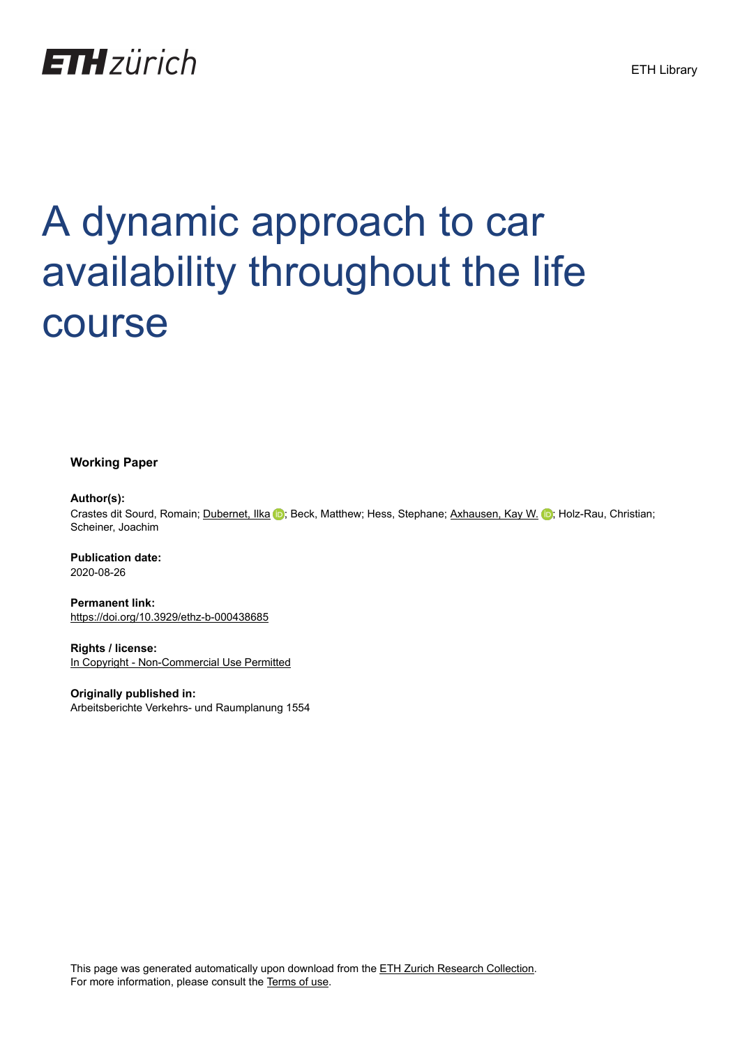

# A dynamic approach to car availability throughout the life course

**Working Paper**

#### **Author(s):**

Crastes dit Sourd, Romain; [Dubernet, Ilka](https://orcid.org/0000-0003-4130-8303) D; Beck, Matthew; Hess, Stephane; [Axhausen, Kay W.](https://orcid.org/0000-0003-3331-1318) D; Holz-Rau, Christian; Scheiner, Joachim

**Publication date:** 2020-08-26

**Permanent link:** <https://doi.org/10.3929/ethz-b-000438685>

**Rights / license:** [In Copyright - Non-Commercial Use Permitted](http://rightsstatements.org/page/InC-NC/1.0/)

**Originally published in:** Arbeitsberichte Verkehrs- und Raumplanung 1554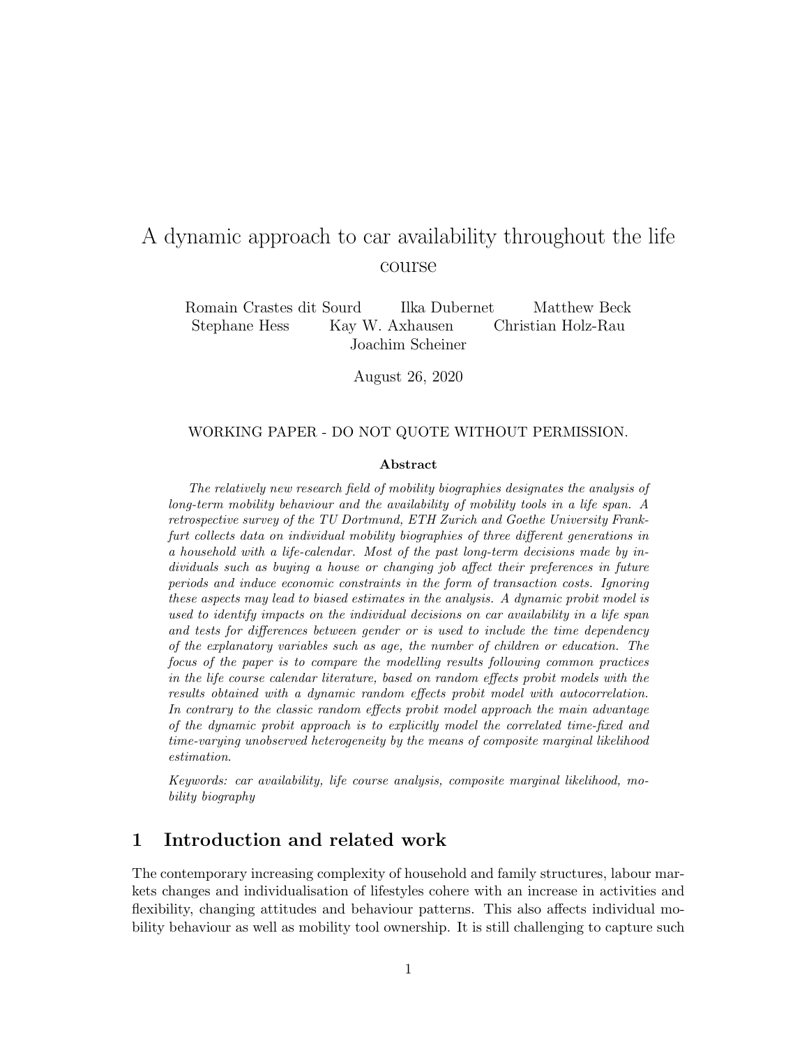# A dynamic approach to car availability throughout the life course

Romain Crastes dit Sourd Ilka Dubernet Matthew Beck Stephane Hess Kay W. Axhausen Christian Holz-Rau Joachim Scheiner

August 26, 2020

#### WORKING PAPER - DO NOT QUOTE WITHOUT PERMISSION.

#### Abstract

The relatively new research field of mobility biographies designates the analysis of long-term mobility behaviour and the availability of mobility tools in a life span. A retrospective survey of the TU Dortmund, ETH Zurich and Goethe University Frankfurt collects data on individual mobility biographies of three different generations in a household with a life-calendar. Most of the past long-term decisions made by individuals such as buying a house or changing job affect their preferences in future periods and induce economic constraints in the form of transaction costs. Ignoring these aspects may lead to biased estimates in the analysis. A dynamic probit model is used to identify impacts on the individual decisions on car availability in a life span and tests for differences between gender or is used to include the time dependency of the explanatory variables such as age, the number of children or education. The focus of the paper is to compare the modelling results following common practices in the life course calendar literature, based on random effects probit models with the results obtained with a dynamic random effects probit model with autocorrelation. In contrary to the classic random effects probit model approach the main advantage of the dynamic probit approach is to explicitly model the correlated time-fixed and time-varying unobserved heterogeneity by the means of composite marginal likelihood estimation.

Keywords: car availability, life course analysis, composite marginal likelihood, mobility biography

## 1 Introduction and related work

The contemporary increasing complexity of household and family structures, labour markets changes and individualisation of lifestyles cohere with an increase in activities and flexibility, changing attitudes and behaviour patterns. This also affects individual mobility behaviour as well as mobility tool ownership. It is still challenging to capture such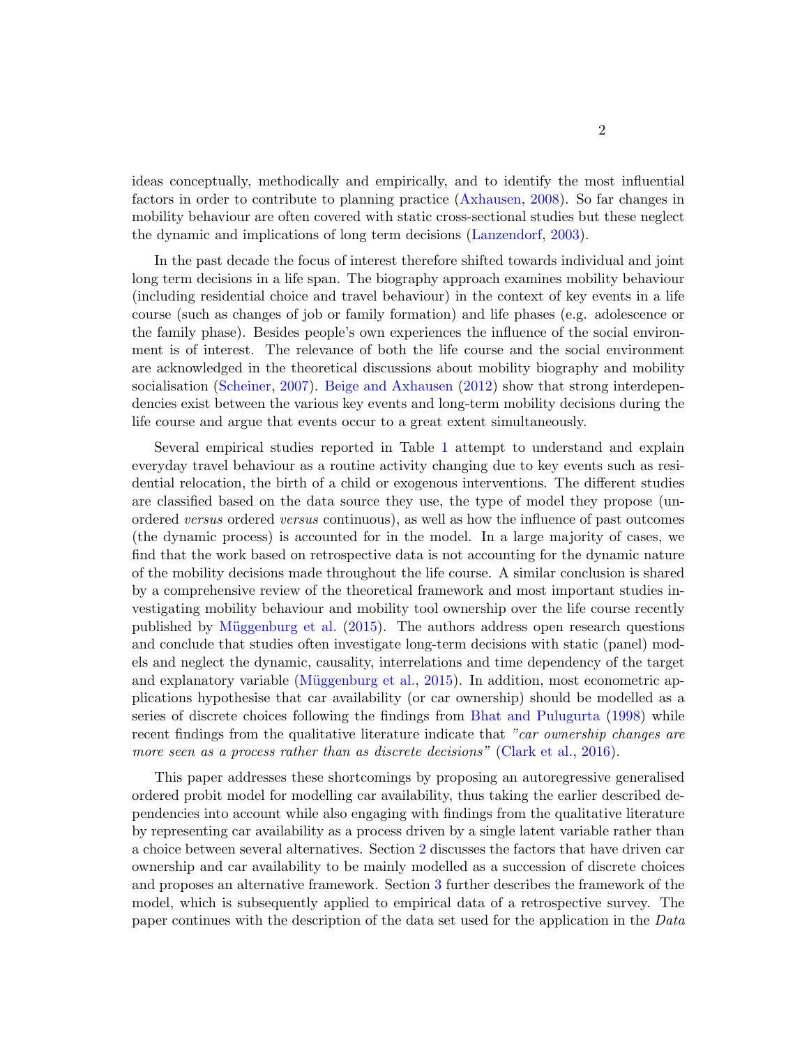ideas conceptually, methodically and empirically, and to identify the most influential factors in order to contribute to planning practice [\(Axhausen,](#page-24-0) [2008\)](#page-24-0). So far changes in mobility behaviour are often covered with static cross-sectional studies but these neglect the dynamic and implications of long term decisions [\(Lanzendorf,](#page-27-0) [2003\)](#page-27-0).

In the past decade the focus of interest therefore shifted towards individual and joint long term decisions in a life span. The biography approach examines mobility behaviour (including residential choice and travel behaviour) in the context of key events in a life course (such as changes of job or family formation) and life phases (e.g. adolescence or the family phase). Besides people's own experiences the influence of the social environment is of interest. The relevance of both the life course and the social environment are acknowledged in the theoretical discussions about mobility biography and mobility socialisation [\(Scheiner,](#page-27-1) [2007\)](#page-27-1). [Beige and Axhausen](#page-25-0) [\(2012\)](#page-25-0) show that strong interdependencies exist between the various key events and long-term mobility decisions during the life course and argue that events occur to a great extent simultaneously.

Several empirical studies reported in Table [1](#page-3-0) attempt to understand and explain everyday travel behaviour as a routine activity changing due to key events such as residential relocation, the birth of a child or exogenous interventions. The different studies are classified based on the data source they use, the type of model they propose (unordered versus ordered versus continuous), as well as how the influence of past outcomes (the dynamic process) is accounted for in the model. In a large majority of cases, we find that the work based on retrospective data is not accounting for the dynamic nature of the mobility decisions made throughout the life course. A similar conclusion is shared by a comprehensive review of the theoretical framework and most important studies investigating mobility behaviour and mobility tool ownership over the life course recently published by Müggenburg et al.  $(2015)$ . The authors address open research questions and conclude that studies often investigate long-term decisions with static (panel) models and neglect the dynamic, causality, interrelations and time dependency of the target and explanatory variable (Müggenburg et al.,  $2015$ ). In addition, most econometric applications hypothesise that car availability (or car ownership) should be modelled as a series of discrete choices following the findings from [Bhat and Pulugurta](#page-25-1) [\(1998\)](#page-25-1) while recent findings from the qualitative literature indicate that "car ownership changes are more seen as a process rather than as discrete decisions" [\(Clark et al.,](#page-25-2) [2016\)](#page-25-2).

This paper addresses these shortcomings by proposing an autoregressive generalised ordered probit model for modelling car availability, thus taking the earlier described dependencies into account while also engaging with findings from the qualitative literature by representing car availability as a process driven by a single latent variable rather than a choice between several alternatives. Section [2](#page-3-1) discusses the factors that have driven car ownership and car availability to be mainly modelled as a succession of discrete choices and proposes an alternative framework. Section [3](#page-5-0) further describes the framework of the model, which is subsequently applied to empirical data of a retrospective survey. The paper continues with the description of the data set used for the application in the Data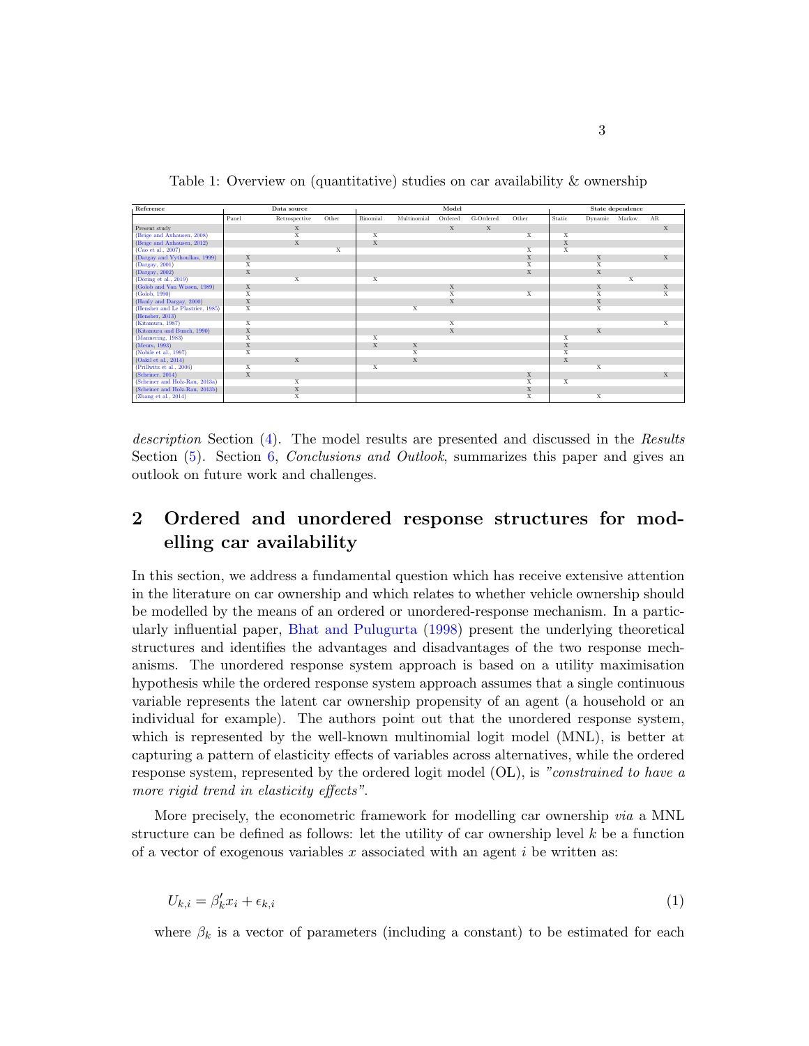Table 1: Overview on (quantitative) studies on car availability & ownership

<span id="page-3-0"></span>

| Reference                        |       | Data source    |       | Model          |             |             |           |             |                         | State dependence        |        |              |  |
|----------------------------------|-------|----------------|-------|----------------|-------------|-------------|-----------|-------------|-------------------------|-------------------------|--------|--------------|--|
|                                  | Panel | Retrospective  | Other | Binomial       | Multinomial | Ordered     | G-Ordered | Other       | Static                  | Dynamic                 | Markov | AR           |  |
| Present study                    |       | $\mathbf x$    |       |                |             | $\mathbf x$ | X         |             |                         |                         |        | $\mathbf{x}$ |  |
| (Beige and Axhausen, 2008)       |       | $\overline{X}$ |       | X              |             |             |           | X           | X                       |                         |        |              |  |
| (Beige and Axhausen, 2012)       |       | X              |       | X              |             |             |           |             | $\mathbf{x}$            |                         |        |              |  |
| (Cao et al., 2007)               |       |                | X     |                |             |             |           | X           | X                       |                         |        |              |  |
| (Dargay and Vythoulkas, 1999)    | X     |                |       |                |             |             |           | X           |                         | X                       |        | X            |  |
| (Dargay, 2001)                   | X     |                |       |                |             |             |           | X           |                         | $\overline{\mathbf{x}}$ |        |              |  |
| (Dargay, 2002)                   | X     |                |       |                |             |             |           | X           |                         | X                       |        |              |  |
| $(D\ddot{o}ring et al., 2019)$   |       | X              |       | X              |             |             |           |             |                         |                         | X      |              |  |
| (Golob and Van Wissen, 1989)     | X     |                |       |                |             | X           |           |             |                         | X                       |        | X            |  |
| (Golob, 1990)                    | X     |                |       |                |             | X           |           | X           |                         | X                       |        | X            |  |
| (Hanly and Dargay, 2000)         | X     |                |       |                |             | X           |           |             |                         | X                       |        |              |  |
| (Hensher and Le Plastrier, 1985) | X     |                |       |                | X           |             |           |             |                         | X                       |        |              |  |
| (Hensher, 2013)                  |       |                |       |                |             |             |           |             |                         |                         |        |              |  |
| (Kitamura, 1987)                 | X     |                |       |                |             | X           |           |             |                         |                         |        | X            |  |
| (Kitamura and Bunch, 1990)       | X     |                |       |                |             | X           |           |             |                         | X                       |        |              |  |
| (Mannering, 1983)                | X     |                |       | $\overline{X}$ |             |             |           |             | $\overline{\mathbf{x}}$ |                         |        |              |  |
| (Meurs, 1993)                    | X     |                |       | X              | X           |             |           |             | $\mathbf x$             |                         |        |              |  |
| (Nobile et al., 1997)            | X     |                |       |                | X           |             |           |             | X                       |                         |        |              |  |
| (Oakil et al., 2014)             |       | X              |       |                | X           |             |           |             | $\mathbf{x}$            |                         |        |              |  |
| (Prillwitz et al., 2006)         | X     |                |       | X              |             |             |           |             |                         | X                       |        |              |  |
| (Scheiner, 2014)                 | X     |                |       |                |             |             |           | X           |                         |                         |        | X            |  |
| (Scheiner and Holz-Rau, 2013a)   |       | X              |       |                |             |             |           | X           | X                       |                         |        |              |  |
| (Scheiner and Holz-Rau, 2013b)   |       | X              |       |                |             |             |           | $\mathbf X$ |                         |                         |        |              |  |
| (Zhang et al., 2014)             |       | X              |       |                |             |             |           | X           |                         | X                       |        |              |  |

description Section [\(4\)](#page-9-0). The model results are presented and discussed in the Results Section  $(5)$ . Section [6,](#page-23-0) *Conclusions and Outlook*, summarizes this paper and gives an outlook on future work and challenges.

## <span id="page-3-1"></span>2 Ordered and unordered response structures for modelling car availability

In this section, we address a fundamental question which has receive extensive attention in the literature on car ownership and which relates to whether vehicle ownership should be modelled by the means of an ordered or unordered-response mechanism. In a particularly influential paper, [Bhat and Pulugurta](#page-25-1) [\(1998\)](#page-25-1) present the underlying theoretical structures and identifies the advantages and disadvantages of the two response mechanisms. The unordered response system approach is based on a utility maximisation hypothesis while the ordered response system approach assumes that a single continuous variable represents the latent car ownership propensity of an agent (a household or an individual for example). The authors point out that the unordered response system, which is represented by the well-known multinomial logit model (MNL), is better at capturing a pattern of elasticity effects of variables across alternatives, while the ordered response system, represented by the ordered logit model  $(OL)$ , is "constrained to have a more rigid trend in elasticity effects".

More precisely, the econometric framework for modelling car ownership via a MNL structure can be defined as follows: let the utility of car ownership level  $k$  be a function of a vector of exogenous variables  $x$  associated with an agent  $i$  be written as:

$$
U_{k,i} = \beta'_k x_i + \epsilon_{k,i} \tag{1}
$$

where  $\beta_k$  is a vector of parameters (including a constant) to be estimated for each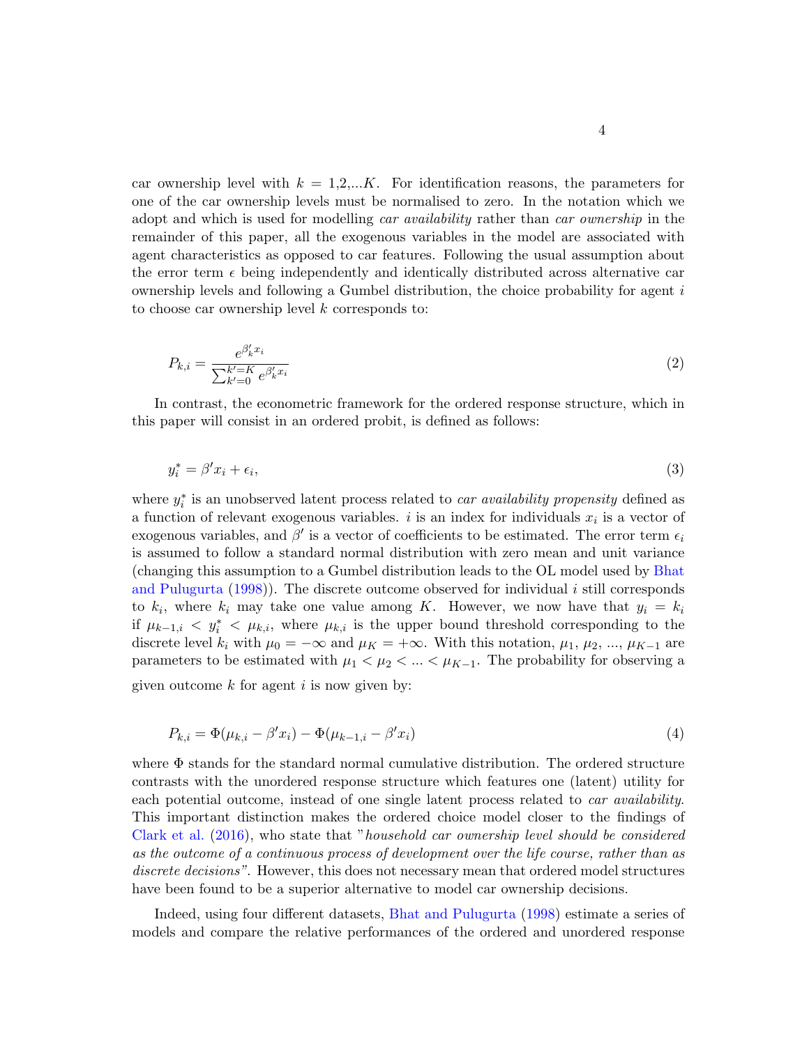car ownership level with  $k = 1, 2, \dots K$ . For identification reasons, the parameters for one of the car ownership levels must be normalised to zero. In the notation which we adopt and which is used for modelling *car availability* rather than *car ownership* in the remainder of this paper, all the exogenous variables in the model are associated with agent characteristics as opposed to car features. Following the usual assumption about the error term  $\epsilon$  being independently and identically distributed across alternative car ownership levels and following a Gumbel distribution, the choice probability for agent  $i$ to choose car ownership level  $k$  corresponds to:

$$
P_{k,i} = \frac{e^{\beta'_k x_i}}{\sum_{k'=0}^{k'=K} e^{\beta'_k x_i}}
$$
(2)

In contrast, the econometric framework for the ordered response structure, which in this paper will consist in an ordered probit, is defined as follows:

$$
y_i^* = \beta' x_i + \epsilon_i,\tag{3}
$$

where  $y_i^*$  is an unobserved latent process related to *car availability propensity* defined as a function of relevant exogenous variables. i is an index for individuals  $x_i$  is a vector of exogenous variables, and  $\beta'$  is a vector of coefficients to be estimated. The error term  $\epsilon_i$ is assumed to follow a standard normal distribution with zero mean and unit variance (changing this assumption to a Gumbel distribution leads to the OL model used by [Bhat](#page-25-1) [and Pulugurta](#page-25-1)  $(1998)$ . The discrete outcome observed for individual i still corresponds to  $k_i$ , where  $k_i$  may take one value among K. However, we now have that  $y_i = k_i$ if  $\mu_{k-1,i} < y_i^* < \mu_{k,i}$ , where  $\mu_{k,i}$  is the upper bound threshold corresponding to the discrete level  $k_i$  with  $\mu_0 = -\infty$  and  $\mu_K = +\infty$ . With this notation,  $\mu_1, \mu_2, ..., \mu_{K-1}$  are parameters to be estimated with  $\mu_1 < \mu_2 < ... < \mu_{K-1}$ . The probability for observing a given outcome  $k$  for agent  $i$  is now given by:

<span id="page-4-0"></span>
$$
P_{k,i} = \Phi(\mu_{k,i} - \beta' x_i) - \Phi(\mu_{k-1,i} - \beta' x_i)
$$
\n(4)

where  $\Phi$  stands for the standard normal cumulative distribution. The ordered structure contrasts with the unordered response structure which features one (latent) utility for each potential outcome, instead of one single latent process related to *car availability*. This important distinction makes the ordered choice model closer to the findings of [Clark et al.](#page-25-2) [\(2016\)](#page-25-2), who state that "household car ownership level should be considered as the outcome of a continuous process of development over the life course, rather than as discrete decisions". However, this does not necessary mean that ordered model structures have been found to be a superior alternative to model car ownership decisions.

Indeed, using four different datasets, [Bhat and Pulugurta](#page-25-1) [\(1998\)](#page-25-1) estimate a series of models and compare the relative performances of the ordered and unordered response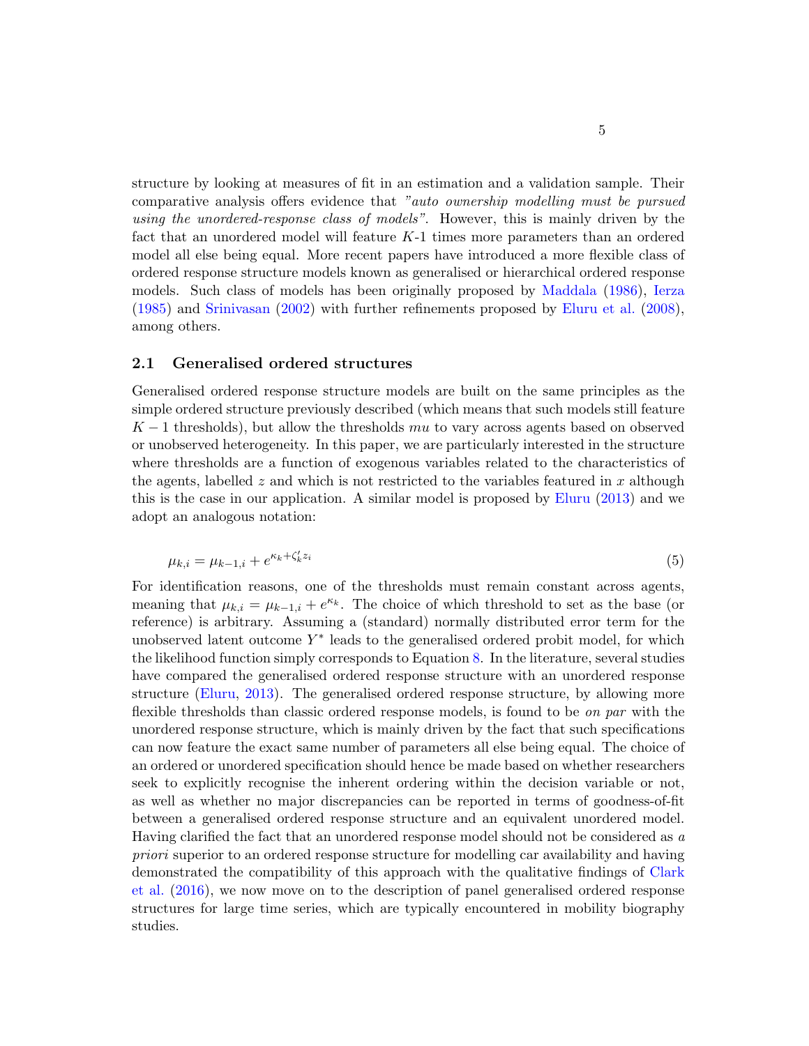structure by looking at measures of fit in an estimation and a validation sample. Their comparative analysis offers evidence that "auto ownership modelling must be pursued using the unordered-response class of models". However, this is mainly driven by the fact that an unordered model will feature K-1 times more parameters than an ordered model all else being equal. More recent papers have introduced a more flexible class of ordered response structure models known as generalised or hierarchical ordered response models. Such class of models has been originally proposed by [Maddala](#page-27-9) [\(1986\)](#page-27-9), [Ierza](#page-26-7) [\(1985\)](#page-26-7) and [Srinivasan](#page-28-3) [\(2002\)](#page-28-3) with further refinements proposed by [Eluru et al.](#page-26-8) [\(2008\)](#page-26-8), among others.

#### 2.1 Generalised ordered structures

Generalised ordered response structure models are built on the same principles as the simple ordered structure previously described (which means that such models still feature  $K-1$  thresholds), but allow the thresholds mu to vary across agents based on observed or unobserved heterogeneity. In this paper, we are particularly interested in the structure where thresholds are a function of exogenous variables related to the characteristics of the agents, labelled z and which is not restricted to the variables featured in x although this is the case in our application. A similar model is proposed by [Eluru](#page-25-8) [\(2013\)](#page-25-8) and we adopt an analogous notation:

$$
\mu_{k,i} = \mu_{k-1,i} + e^{\kappa_k + \zeta_k' z_i} \tag{5}
$$

<span id="page-5-0"></span>For identification reasons, one of the thresholds must remain constant across agents, meaning that  $\mu_{k,i} = \mu_{k-1,i} + e^{\kappa_k}$ . The choice of which threshold to set as the base (or reference) is arbitrary. Assuming a (standard) normally distributed error term for the unobserved latent outcome  $Y^*$  leads to the generalised ordered probit model, for which the likelihood function simply corresponds to Equation [8.](#page-6-0) In the literature, several studies have compared the generalised ordered response structure with an unordered response structure [\(Eluru,](#page-25-8) [2013\)](#page-25-8). The generalised ordered response structure, by allowing more flexible thresholds than classic ordered response models, is found to be on par with the unordered response structure, which is mainly driven by the fact that such specifications can now feature the exact same number of parameters all else being equal. The choice of an ordered or unordered specification should hence be made based on whether researchers seek to explicitly recognise the inherent ordering within the decision variable or not, as well as whether no major discrepancies can be reported in terms of goodness-of-fit between a generalised ordered response structure and an equivalent unordered model. Having clarified the fact that an unordered response model should not be considered as a priori superior to an ordered response structure for modelling car availability and having demonstrated the compatibility of this approach with the qualitative findings of [Clark](#page-25-2) [et al.](#page-25-2) [\(2016\)](#page-25-2), we now move on to the description of panel generalised ordered response structures for large time series, which are typically encountered in mobility biography studies.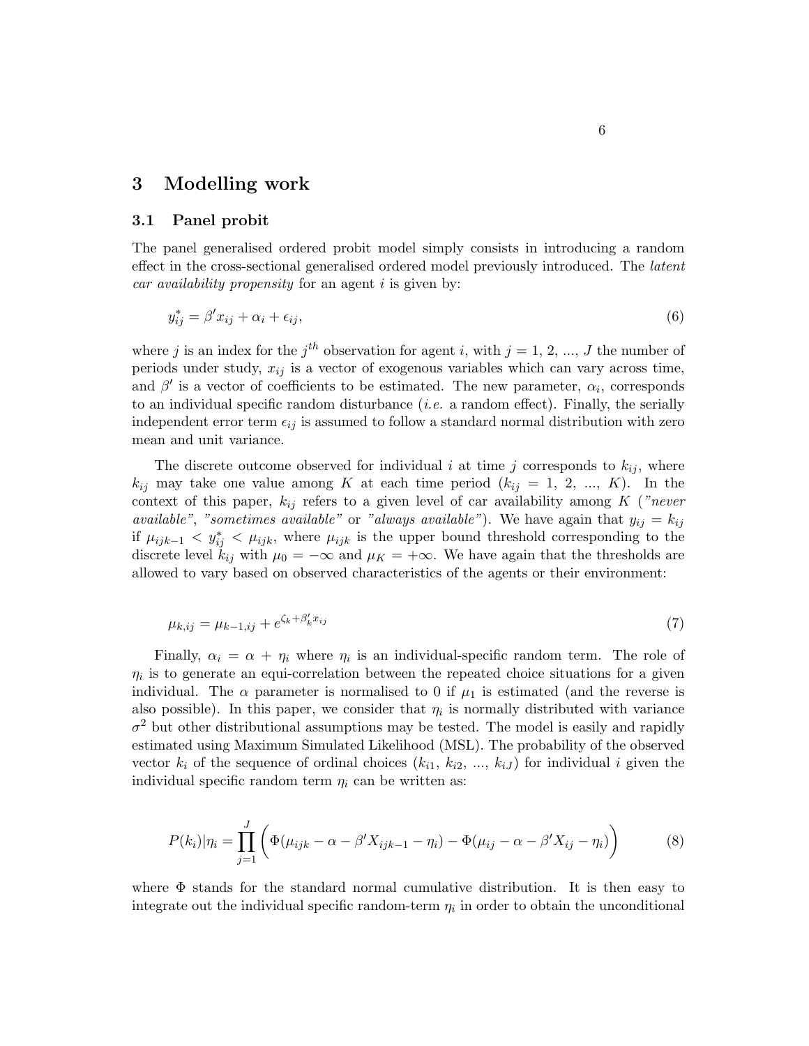## 3 Modelling work

#### 3.1 Panel probit

The panel generalised ordered probit model simply consists in introducing a random effect in the cross-sectional generalised ordered model previously introduced. The *latent* car availability propensity for an agent  $i$  is given by:

$$
y_{ij}^* = \beta' x_{ij} + \alpha_i + \epsilon_{ij},\tag{6}
$$

where j is an index for the  $j<sup>th</sup>$  observation for agent i, with  $j = 1, 2, ..., J$  the number of periods under study,  $x_{ij}$  is a vector of exogenous variables which can vary across time, and  $\beta'$  is a vector of coefficients to be estimated. The new parameter,  $\alpha_i$ , corresponds to an individual specific random disturbance (*i.e.* a random effect). Finally, the serially independent error term  $\epsilon_{ij}$  is assumed to follow a standard normal distribution with zero mean and unit variance.

The discrete outcome observed for individual i at time j corresponds to  $k_{ij}$ , where  $k_{ij}$  may take one value among K at each time period  $(k_{ij} = 1, 2, ..., K)$ . In the context of this paper,  $k_{ij}$  refers to a given level of car availability among K ("never *available"*, "sometimes available" or "always available"). We have again that  $y_{ij} = k_{ij}$ if  $\mu_{ijk-1} < y_{ij}^* < \mu_{ijk}$ , where  $\mu_{ijk}$  is the upper bound threshold corresponding to the discrete level  $k_{ij}$  with  $\mu_0 = -\infty$  and  $\mu_K = +\infty$ . We have again that the thresholds are allowed to vary based on observed characteristics of the agents or their environment:

$$
\mu_{k,ij} = \mu_{k-1,ij} + e^{\zeta_k + \beta'_k x_{ij}} \tag{7}
$$

Finally,  $\alpha_i = \alpha + \eta_i$  where  $\eta_i$  is an individual-specific random term. The role of  $\eta_i$  is to generate an equi-correlation between the repeated choice situations for a given individual. The  $\alpha$  parameter is normalised to 0 if  $\mu_1$  is estimated (and the reverse is also possible). In this paper, we consider that  $\eta_i$  is normally distributed with variance  $\sigma^2$  but other distributional assumptions may be tested. The model is easily and rapidly estimated using Maximum Simulated Likelihood (MSL). The probability of the observed vector  $k_i$  of the sequence of ordinal choices  $(k_{i1}, k_{i2}, ..., k_{iJ})$  for individual i given the individual specific random term  $\eta_i$  can be written as:

<span id="page-6-0"></span>
$$
P(k_i)|\eta_i = \prod_{j=1}^{J} \left( \Phi(\mu_{ijk} - \alpha - \beta' X_{ijk-1} - \eta_i) - \Phi(\mu_{ij} - \alpha - \beta' X_{ij} - \eta_i) \right)
$$
(8)

where  $\Phi$  stands for the standard normal cumulative distribution. It is then easy to integrate out the individual specific random-term  $\eta_i$  in order to obtain the unconditional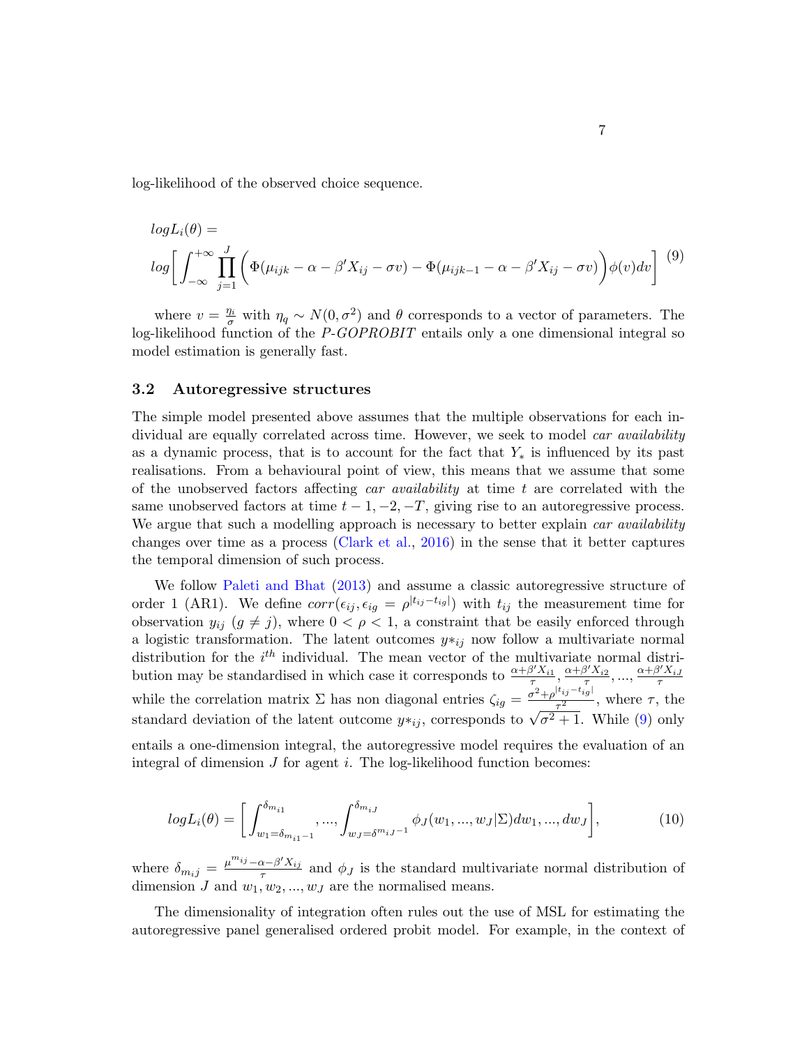<span id="page-7-0"></span>log-likelihood of the observed choice sequence.

$$
log L_i(\theta) =
$$
  
\n
$$
log \left[ \int_{-\infty}^{+\infty} \prod_{j=1}^{J} \left( \Phi(\mu_{ijk} - \alpha - \beta' X_{ij} - \sigma v) - \Phi(\mu_{ijk-1} - \alpha - \beta' X_{ij} - \sigma v) \right) \phi(v) dv \right]^{(9)}
$$

where  $v = \frac{\eta_i}{\sigma}$  with  $\eta_q \sim N(0, \sigma^2)$  and  $\theta$  corresponds to a vector of parameters. The log-likelihood function of the P-GOPROBIT entails only a one dimensional integral so model estimation is generally fast.

#### 3.2 Autoregressive structures

The simple model presented above assumes that the multiple observations for each individual are equally correlated across time. However, we seek to model *car availability* as a dynamic process, that is to account for the fact that  $Y_*$  is influenced by its past realisations. From a behavioural point of view, this means that we assume that some of the unobserved factors affecting car availability at time  $t$  are correlated with the same unobserved factors at time  $t - 1, -2, -T$ , giving rise to an autoregressive process. We argue that such a modelling approach is necessary to better explain car availability changes over time as a process [\(Clark et al.,](#page-25-2) [2016\)](#page-25-2) in the sense that it better captures the temporal dimension of such process.

We follow [Paleti and Bhat](#page-27-10) [\(2013\)](#page-27-10) and assume a classic autoregressive structure of order 1 (AR1). We define  $corr(\epsilon_{ij}, \epsilon_{ig} = \rho^{|t_{ij}-t_{ig}|})$  with  $t_{ij}$  the measurement time for observation  $y_{ij}$   $(g \neq j)$ , where  $0 < \rho < 1$ , a constraint that be easily enforced through a logistic transformation. The latent outcomes  $y *_{ij}$  now follow a multivariate normal distribution for the  $i<sup>th</sup>$  individual. The mean vector of the multivariate normal distribution may be standardised in which case it corresponds to  $\frac{\alpha+\beta'X_{i1}}{\tau}, \frac{\alpha+\beta'X_{i2}}{\tau}, ..., \frac{\alpha+\beta'X_{iJ}}{\tau}$ while the correlation matrix  $\Sigma$  has non diagonal entries  $\zeta_{ig} = \frac{\sigma^2 + \rho^{|t_{ij} - t_{ig}|}}{\tau^2}$ while the correlation matrix  $\Sigma$  has non diagonal entries  $\zeta_{ig} = \frac{\sigma^2 + \rho^{1/2} \sigma^2 g}{\tau^2}$ , where  $\tau$ , the standard deviation of the latent outcome  $y *_{ij}$ , corresponds to  $\sqrt{\sigma^2 + 1}$ . While (9) only  $\overline{\sigma^2+1}$ . While [\(9\)](#page-7-0) only entails a one-dimension integral, the autoregressive model requires the evaluation of an integral of dimension  $J$  for agent  $i$ . The log-likelihood function becomes:

$$
log L_i(\theta) = \left[ \int_{w_1 = \delta_{m_{i1}-1}}^{\delta_{m_{i1}}} \cdots \int_{w_J = \delta^{m_{iJ}-1}}^{\delta_{m_{iJ}}} \phi_J(w_1, \ldots, w_J | \Sigma) dw_1, \ldots, dw_J \right],
$$
(10)

where  $\delta_{m_i j} = \frac{\mu^{m_{ij}} - \alpha - \beta' X_{ij}}{\tau}$  $\frac{x-\beta}{\tau}$  and  $\phi_J$  is the standard multivariate normal distribution of dimension J and  $w_1, w_2, ..., w_J$  are the normalised means.

The dimensionality of integration often rules out the use of MSL for estimating the autoregressive panel generalised ordered probit model. For example, in the context of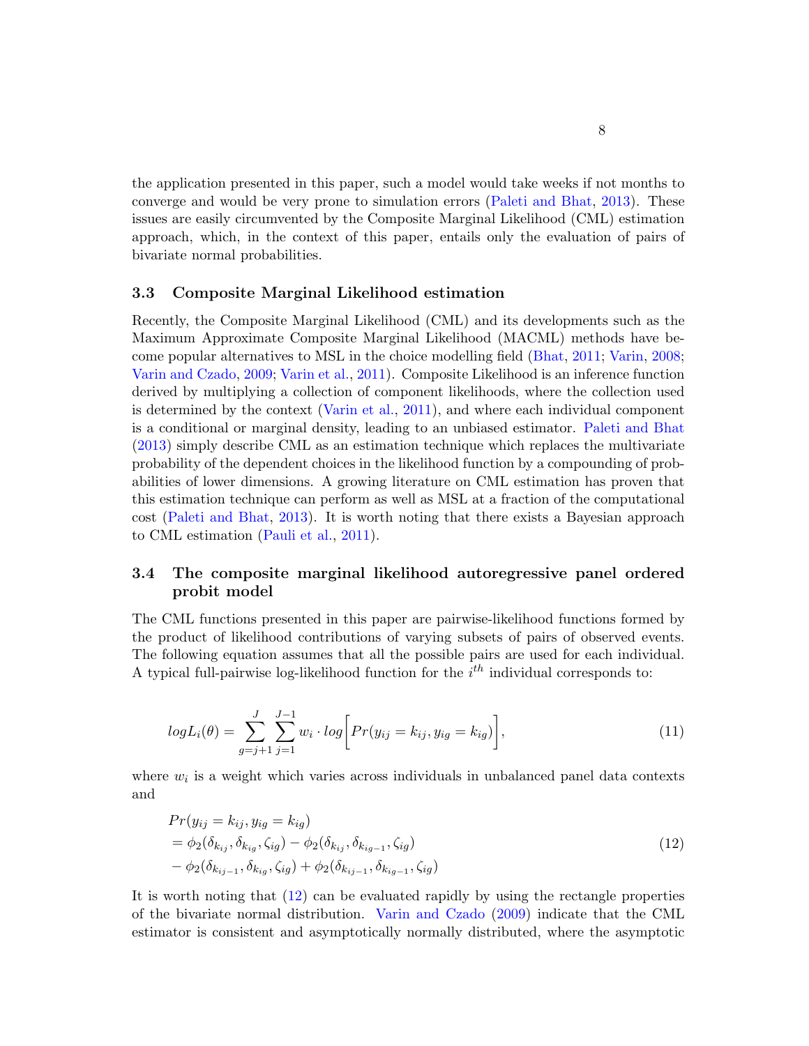the application presented in this paper, such a model would take weeks if not months to converge and would be very prone to simulation errors [\(Paleti and Bhat,](#page-27-10) [2013\)](#page-27-10). These issues are easily circumvented by the Composite Marginal Likelihood (CML) estimation approach, which, in the context of this paper, entails only the evaluation of pairs of bivariate normal probabilities.

#### 3.3 Composite Marginal Likelihood estimation

Recently, the Composite Marginal Likelihood (CML) and its developments such as the Maximum Approximate Composite Marginal Likelihood (MACML) methods have become popular alternatives to MSL in the choice modelling field [\(Bhat,](#page-25-9) [2011;](#page-25-9) [Varin,](#page-28-4) [2008;](#page-28-4) [Varin and Czado,](#page-28-5) [2009;](#page-28-5) [Varin et al.,](#page-28-6) [2011\)](#page-28-6). Composite Likelihood is an inference function derived by multiplying a collection of component likelihoods, where the collection used is determined by the context [\(Varin et al.,](#page-28-6) [2011\)](#page-28-6), and where each individual component is a conditional or marginal density, leading to an unbiased estimator. [Paleti and Bhat](#page-27-10) [\(2013\)](#page-27-10) simply describe CML as an estimation technique which replaces the multivariate probability of the dependent choices in the likelihood function by a compounding of probabilities of lower dimensions. A growing literature on CML estimation has proven that this estimation technique can perform as well as MSL at a fraction of the computational cost [\(Paleti and Bhat,](#page-27-10) [2013\)](#page-27-10). It is worth noting that there exists a Bayesian approach to CML estimation [\(Pauli et al.,](#page-27-11) [2011\)](#page-27-11).

### 3.4 The composite marginal likelihood autoregressive panel ordered probit model

The CML functions presented in this paper are pairwise-likelihood functions formed by the product of likelihood contributions of varying subsets of pairs of observed events. The following equation assumes that all the possible pairs are used for each individual. A typical full-pairwise log-likelihood function for the  $i<sup>th</sup>$  individual corresponds to:

<span id="page-8-1"></span>
$$
log L_i(\theta) = \sum_{g=j+1}^{J} \sum_{j=1}^{J-1} w_i \cdot log \bigg[ Pr(y_{ij} = k_{ij}, y_{ig} = k_{ig}) \bigg], \tag{11}
$$

<span id="page-8-0"></span>where  $w_i$  is a weight which varies across individuals in unbalanced panel data contexts and

$$
Pr(y_{ij} = k_{ij}, y_{ig} = k_{ig})
$$
  
=  $\phi_2(\delta_{k_{ij}}, \delta_{k_{ig}}, \zeta_{ig}) - \phi_2(\delta_{k_{ij}}, \delta_{k_{ig-1}}, \zeta_{ig})$   
 $- \phi_2(\delta_{k_{ij-1}}, \delta_{k_{ig}}, \zeta_{ig}) + \phi_2(\delta_{k_{ij-1}}, \delta_{k_{ig-1}}, \zeta_{ig})$  (12)

It is worth noting that [\(12\)](#page-8-0) can be evaluated rapidly by using the rectangle properties of the bivariate normal distribution. [Varin and Czado](#page-28-5) [\(2009\)](#page-28-5) indicate that the CML estimator is consistent and asymptotically normally distributed, where the asymptotic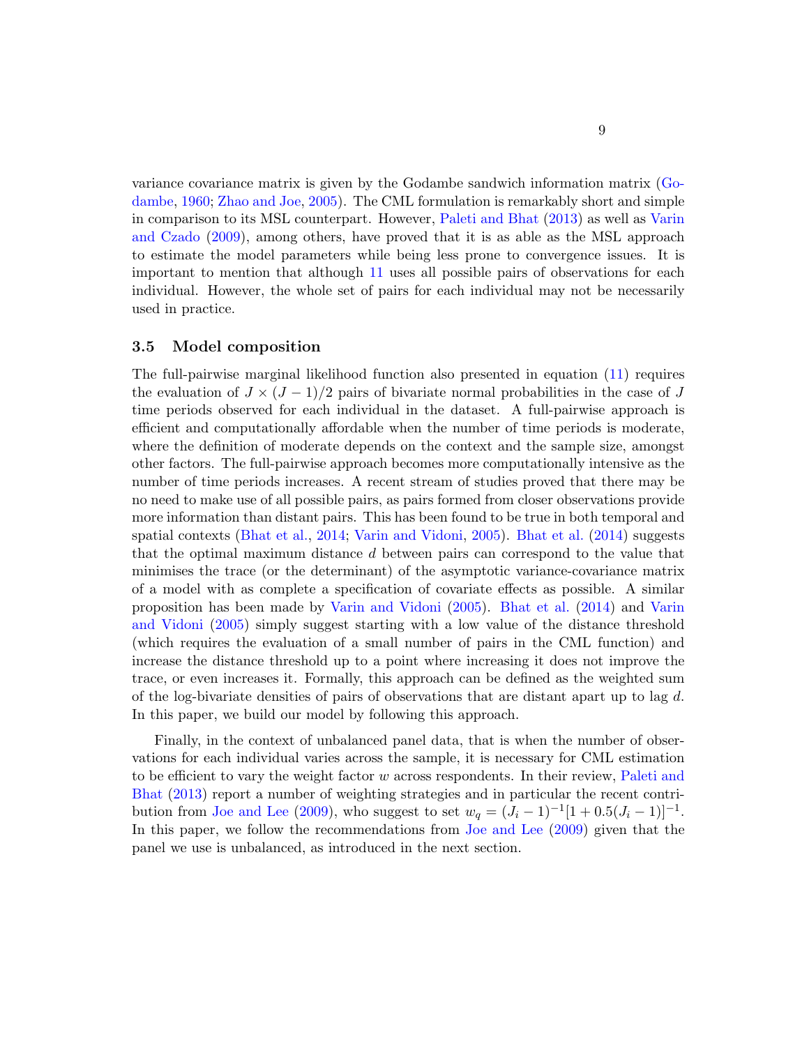variance covariance matrix is given by the Godambe sandwich information matrix [\(Go](#page-26-9)[dambe,](#page-26-9) [1960;](#page-26-9) [Zhao and Joe,](#page-28-7) [2005\)](#page-28-7). The CML formulation is remarkably short and simple in comparison to its MSL counterpart. However, [Paleti and Bhat](#page-27-10) [\(2013\)](#page-27-10) as well as [Varin](#page-28-5) [and Czado](#page-28-5) [\(2009\)](#page-28-5), among others, have proved that it is as able as the MSL approach to estimate the model parameters while being less prone to convergence issues. It is important to mention that although [11](#page-8-1) uses all possible pairs of observations for each individual. However, the whole set of pairs for each individual may not be necessarily used in practice.

#### <span id="page-9-1"></span>3.5 Model composition

The full-pairwise marginal likelihood function also presented in equation [\(11\)](#page-8-1) requires the evaluation of  $J \times (J-1)/2$  pairs of bivariate normal probabilities in the case of J time periods observed for each individual in the dataset. A full-pairwise approach is efficient and computationally affordable when the number of time periods is moderate, where the definition of moderate depends on the context and the sample size, amongst other factors. The full-pairwise approach becomes more computationally intensive as the number of time periods increases. A recent stream of studies proved that there may be no need to make use of all possible pairs, as pairs formed from closer observations provide more information than distant pairs. This has been found to be true in both temporal and spatial contexts [\(Bhat et al.,](#page-25-10) [2014;](#page-25-10) [Varin and Vidoni,](#page-28-8) [2005\)](#page-28-8). [Bhat et al.](#page-25-10) [\(2014\)](#page-25-10) suggests that the optimal maximum distance d between pairs can correspond to the value that minimises the trace (or the determinant) of the asymptotic variance-covariance matrix of a model with as complete a specification of covariate effects as possible. A similar proposition has been made by [Varin and Vidoni](#page-28-8) [\(2005\)](#page-28-8). [Bhat et al.](#page-25-10) [\(2014\)](#page-25-10) and [Varin](#page-28-8) [and Vidoni](#page-28-8) [\(2005\)](#page-28-8) simply suggest starting with a low value of the distance threshold (which requires the evaluation of a small number of pairs in the CML function) and increase the distance threshold up to a point where increasing it does not improve the trace, or even increases it. Formally, this approach can be defined as the weighted sum of the log-bivariate densities of pairs of observations that are distant apart up to lag  $d$ . In this paper, we build our model by following this approach.

<span id="page-9-0"></span>Finally, in the context of unbalanced panel data, that is when the number of observations for each individual varies across the sample, it is necessary for CML estimation to be efficient to vary the weight factor  $w$  across respondents. In their review, [Paleti and](#page-27-10) [Bhat](#page-27-10) [\(2013\)](#page-27-10) report a number of weighting strategies and in particular the recent contri-bution from [Joe and Lee](#page-26-10) [\(2009\)](#page-26-10), who suggest to set  $w_q = (J_i - 1)^{-1} [1 + 0.5(J_i - 1)]^{-1}$ . In this paper, we follow the recommendations from [Joe and Lee](#page-26-10) [\(2009\)](#page-26-10) given that the panel we use is unbalanced, as introduced in the next section.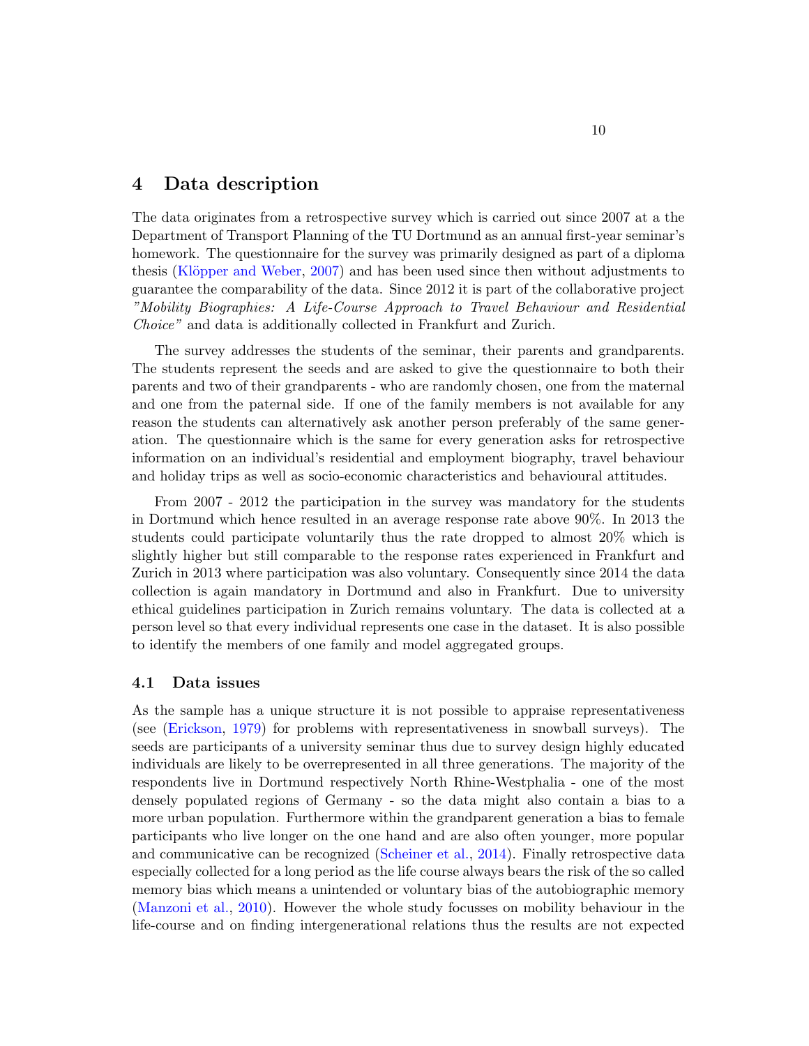## 4 Data description

The data originates from a retrospective survey which is carried out since 2007 at a the Department of Transport Planning of the TU Dortmund as an annual first-year seminar's homework. The questionnaire for the survey was primarily designed as part of a diploma thesis (Klöpper and Weber, [2007\)](#page-27-12) and has been used since then without adjustments to guarantee the comparability of the data. Since 2012 it is part of the collaborative project "Mobility Biographies: A Life-Course Approach to Travel Behaviour and Residential Choice" and data is additionally collected in Frankfurt and Zurich.

The survey addresses the students of the seminar, their parents and grandparents. The students represent the seeds and are asked to give the questionnaire to both their parents and two of their grandparents - who are randomly chosen, one from the maternal and one from the paternal side. If one of the family members is not available for any reason the students can alternatively ask another person preferably of the same generation. The questionnaire which is the same for every generation asks for retrospective information on an individual's residential and employment biography, travel behaviour and holiday trips as well as socio-economic characteristics and behavioural attitudes.

From 2007 - 2012 the participation in the survey was mandatory for the students in Dortmund which hence resulted in an average response rate above 90%. In 2013 the students could participate voluntarily thus the rate dropped to almost 20% which is slightly higher but still comparable to the response rates experienced in Frankfurt and Zurich in 2013 where participation was also voluntary. Consequently since 2014 the data collection is again mandatory in Dortmund and also in Frankfurt. Due to university ethical guidelines participation in Zurich remains voluntary. The data is collected at a person level so that every individual represents one case in the dataset. It is also possible to identify the members of one family and model aggregated groups.

#### 4.1 Data issues

As the sample has a unique structure it is not possible to appraise representativeness (see [\(Erickson,](#page-26-11) [1979\)](#page-26-11) for problems with representativeness in snowball surveys). The seeds are participants of a university seminar thus due to survey design highly educated individuals are likely to be overrepresented in all three generations. The majority of the respondents live in Dortmund respectively North Rhine-Westphalia - one of the most densely populated regions of Germany - so the data might also contain a bias to a more urban population. Furthermore within the grandparent generation a bias to female participants who live longer on the one hand and are also often younger, more popular and communicative can be recognized [\(Scheiner et al.,](#page-28-9) [2014\)](#page-28-9). Finally retrospective data especially collected for a long period as the life course always bears the risk of the so called memory bias which means a unintended or voluntary bias of the autobiographic memory [\(Manzoni et al.,](#page-27-13) [2010\)](#page-27-13). However the whole study focusses on mobility behaviour in the life-course and on finding intergenerational relations thus the results are not expected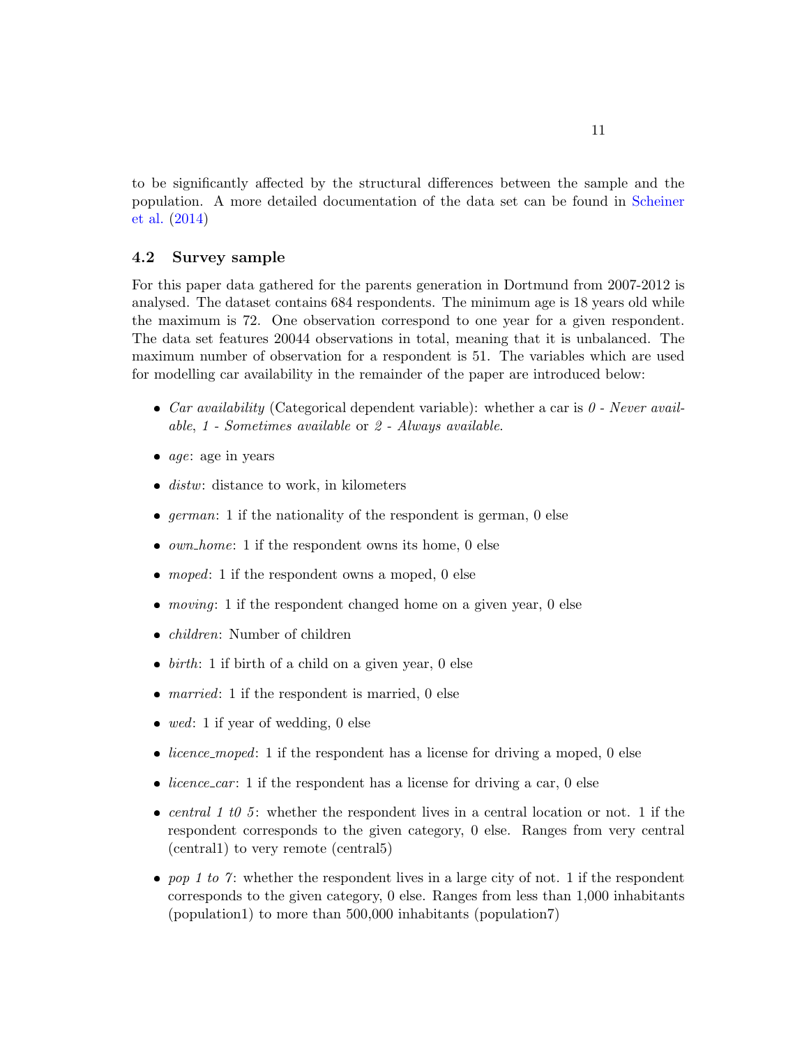to be significantly affected by the structural differences between the sample and the population. A more detailed documentation of the data set can be found in [Scheiner](#page-28-9) [et al.](#page-28-9) [\(2014\)](#page-28-9)

#### 4.2 Survey sample

For this paper data gathered for the parents generation in Dortmund from 2007-2012 is analysed. The dataset contains 684 respondents. The minimum age is 18 years old while the maximum is 72. One observation correspond to one year for a given respondent. The data set features 20044 observations in total, meaning that it is unbalanced. The maximum number of observation for a respondent is 51. The variables which are used for modelling car availability in the remainder of the paper are introduced below:

- Car availability (Categorical dependent variable): whether a car is  $0$  Never available, 1 - Sometimes available or 2 - Always available.
- $age: age$  in years
- $\bullet$  distw: distance to work, in kilometers
- $german: 1$  if the nationality of the respondent is german, 0 else
- $\bullet$  *own\_home*: 1 if the respondent owns its home, 0 else
- $\bullet$  moped: 1 if the respondent owns a moped, 0 else
- $\bullet$  *moving*: 1 if the respondent changed home on a given year, 0 else
- *children*: Number of children
- $\bullet$  *birth*: 1 if birth of a child on a given year, 0 else
- *married*: 1 if the respondent is married, 0 else
- wed: 1 if year of wedding, 0 else
- $\bullet$  *licence\_moped*: 1 if the respondent has a license for driving a moped, 0 else
- licence car: 1 if the respondent has a license for driving a car, 0 else
- central 1 t0 5: whether the respondent lives in a central location or not. 1 if the respondent corresponds to the given category, 0 else. Ranges from very central (central1) to very remote (central5)
- pop 1 to 7: whether the respondent lives in a large city of not. 1 if the respondent corresponds to the given category, 0 else. Ranges from less than 1,000 inhabitants (population1) to more than 500,000 inhabitants (population7)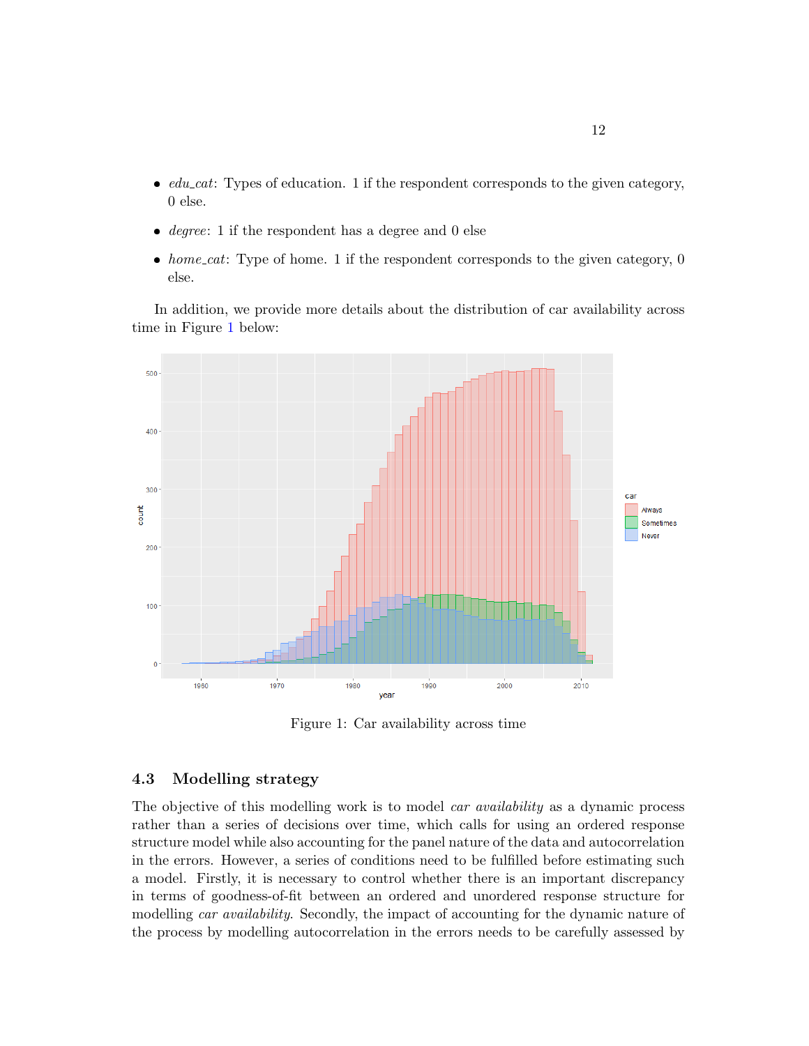- $\bullet$   $edu\_cat$ : Types of education. 1 if the respondent corresponds to the given category, 0 else.
- $\bullet$  *degree*: 1 if the respondent has a degree and 0 else
- home\_cat: Type of home. 1 if the respondent corresponds to the given category,  $0$ else.

In addition, we provide more details about the distribution of car availability across time in Figure [1](#page-12-0) below:

<span id="page-12-0"></span>

Figure 1: Car availability across time

#### 4.3 Modelling strategy

The objective of this modelling work is to model *car availability* as a dynamic process rather than a series of decisions over time, which calls for using an ordered response structure model while also accounting for the panel nature of the data and autocorrelation in the errors. However, a series of conditions need to be fulfilled before estimating such a model. Firstly, it is necessary to control whether there is an important discrepancy in terms of goodness-of-fit between an ordered and unordered response structure for modelling *car availability*. Secondly, the impact of accounting for the dynamic nature of the process by modelling autocorrelation in the errors needs to be carefully assessed by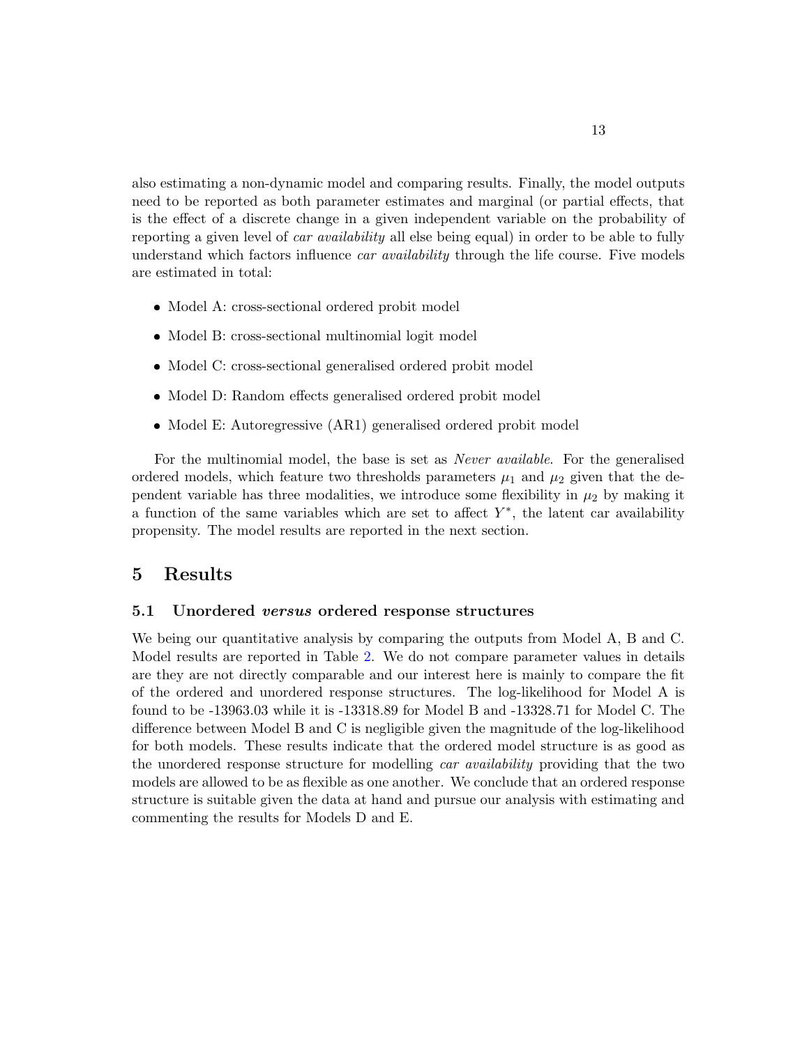also estimating a non-dynamic model and comparing results. Finally, the model outputs need to be reported as both parameter estimates and marginal (or partial effects, that is the effect of a discrete change in a given independent variable on the probability of reporting a given level of *car availability* all else being equal) in order to be able to fully understand which factors influence *car availability* through the life course. Five models are estimated in total:

- Model A: cross-sectional ordered probit model
- Model B: cross-sectional multinomial logit model
- Model C: cross-sectional generalised ordered probit model
- Model D: Random effects generalised ordered probit model
- Model E: Autoregressive (AR1) generalised ordered probit model

For the multinomial model, the base is set as *Never available*. For the generalised ordered models, which feature two thresholds parameters  $\mu_1$  and  $\mu_2$  given that the dependent variable has three modalities, we introduce some flexibility in  $\mu_2$  by making it a function of the same variables which are set to affect  $Y^*$ , the latent car availability propensity. The model results are reported in the next section.

## <span id="page-13-0"></span>5 Results

#### 5.1 Unordered versus ordered response structures

We being our quantitative analysis by comparing the outputs from Model A, B and C. Model results are reported in Table [2.](#page-14-0) We do not compare parameter values in details are they are not directly comparable and our interest here is mainly to compare the fit of the ordered and unordered response structures. The log-likelihood for Model A is found to be -13963.03 while it is -13318.89 for Model B and -13328.71 for Model C. The difference between Model B and C is negligible given the magnitude of the log-likelihood for both models. These results indicate that the ordered model structure is as good as the unordered response structure for modelling *car availability* providing that the two models are allowed to be as flexible as one another. We conclude that an ordered response structure is suitable given the data at hand and pursue our analysis with estimating and commenting the results for Models D and E.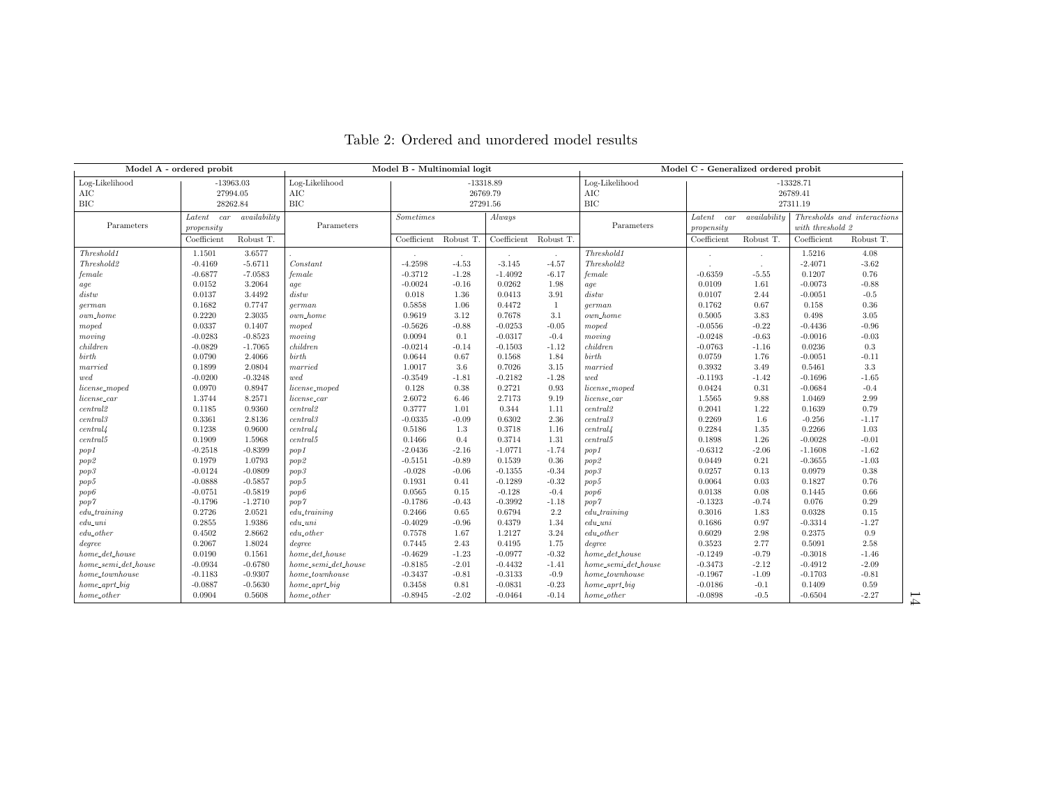<span id="page-14-0"></span>

| Model A - ordered probit |             |              | Model B - Multinomial logit |                            |         | Model C - Generalized ordered probit |              |                                                              |             |                  |             |           |
|--------------------------|-------------|--------------|-----------------------------|----------------------------|---------|--------------------------------------|--------------|--------------------------------------------------------------|-------------|------------------|-------------|-----------|
| Log-Likelihood           | $-13963.03$ |              | Log-Likelihood              | $-13318.89$                |         |                                      |              | Log-Likelihood                                               | $-13328.71$ |                  |             |           |
| <b>AIC</b>               | 27994.05    |              | $\rm AIC$                   | 26769.79                   |         |                                      | AIC          | 26789.41                                                     |             |                  |             |           |
| <b>BIC</b>               | 28262.84    |              | $_{\rm BIC}$                | 27291.56                   |         |                                      | <b>BIC</b>   | 27311.19                                                     |             |                  |             |           |
| $Latent \quad car$       |             | availability |                             | Always<br><b>Sometimes</b> |         |                                      |              | availability<br>Thresholds and interactions<br>Latent<br>car |             |                  |             |           |
| Parameters               | propensity  |              | Parameters                  |                            |         |                                      |              | Parameters                                                   | propensity  | with threshold 2 |             |           |
|                          | Coefficient | Robust T.    |                             | Coefficient Robust T.      |         | Coefficient                          | Robust T.    |                                                              | Coefficient | Robust T.        | Coefficient | Robust T. |
| Threshold1               | 1.1501      | 3.6577       |                             |                            |         |                                      | $\sim$       | Threshold1                                                   |             |                  | 1.5216      | 4.08      |
| Threshold2               | $-0.4169$   | $-5.6711$    | Constant                    | $-4.2598$                  | $-4.53$ | $-3.145$                             | $-4.57$      | Threshold2                                                   |             |                  | $-2.4071$   | $-3.62$   |
| female                   | $-0.6877$   | $-7.0583$    | female                      | $-0.3712$                  | $-1.28$ | $-1.4092$                            | $-6.17$      | female                                                       | $-0.6359$   | $-5.55$          | 0.1207      | 0.76      |
| age                      | 0.0152      | 3.2064       | age                         | $-0.0024$                  | $-0.16$ | 0.0262                               | 1.98         | age                                                          | 0.0109      | 1.61             | $-0.0073$   | $-0.88$   |
| distw                    | 0.0137      | 3.4492       | distw                       | 0.018                      | 1.36    | 0.0413                               | 3.91         | distw                                                        | 0.0107      | 2.44             | $-0.0051$   | $-0.5$    |
| german                   | 0.1682      | 0.7747       | qerman                      | 0.5858                     | 1.06    | 0.4472                               | $\mathbf{1}$ | qerman                                                       | 0.1762      | 0.67             | 0.158       | 0.36      |
| $own\_home$              | 0.2220      | 2.3035       | own_home                    | 0.9619                     | 3.12    | 0.7678                               | 3.1          | own_home                                                     | 0.5005      | 3.83             | 0.498       | 3.05      |
| moped                    | 0.0337      | 0.1407       | moped                       | $-0.5626$                  | $-0.88$ | $-0.0253$                            | $-0.05$      | moped                                                        | $-0.0556$   | $-0.22$          | $-0.4436$   | $-0.96$   |
| moving                   | $-0.0283$   | $-0.8523$    | moving                      | 0.0094                     | 0.1     | $-0.0317$                            | $-0.4$       | moving                                                       | $-0.0248$   | $-0.63$          | $-0.0016$   | $-0.03$   |
| children                 | $-0.0829$   | $-1.7065$    | children                    | $-0.0214$                  | $-0.14$ | $-0.1503$                            | $-1.12$      | children                                                     | $-0.0763$   | $-1.16$          | 0.0236      | $\rm 0.3$ |
| birth                    | 0.0790      | 2.4066       | birth                       | 0.0644                     | 0.67    | 0.1568                               | 1.84         | birth                                                        | 0.0759      | 1.76             | $-0.0051$   | $-0.11$   |
| $\emph{married}$         | 0.1899      | 2.0804       | married                     | 1.0017                     | 3.6     | 0.7026                               | 3.15         | $\it married$                                                | 0.3932      | 3.49             | 0.5461      | $3.3\,$   |
| wed                      | $-0.0200$   | $-0.3248$    | wed                         | $-0.3549$                  | $-1.81$ | $-0.2182$                            | $-1.28$      | wed                                                          | $-0.1193$   | $-1.42$          | $-0.1696$   | $-1.65$   |
| license_moped            | 0.0970      | 0.8947       | license_moped               | 0.128                      | 0.38    | 0.2721                               | 0.93         | license_moped                                                | 0.0424      | 0.31             | $-0.0684$   | $-0.4$    |
| license_car              | 1.3744      | 8.2571       | $license\_car$              | 2.6072                     | 6.46    | 2.7173                               | 9.19         | $license\_car$                                               | 1.5565      | 9.88             | 1.0469      | 2.99      |
| central2                 | 0.1185      | 0.9360       | central2                    | 0.3777                     | 1.01    | 0.344                                | 1.11         | central2                                                     | 0.2041      | 1.22             | 0.1639      | 0.79      |
| central3                 | 0.3361      | 2.8136       | $central\!3$                | $-0.0335$                  | $-0.09$ | 0.6302                               | 2.36         | central3                                                     | 0.2269      | 1.6              | $-0.256$    | $-1.17$   |
| central/4                | 0.1238      | 0.9600       | central                     | 0.5186                     | 1.3     | 0.3718                               | 1.16         | central                                                      | 0.2284      | $1.35\,$         | 0.2266      | 1.03      |
| central 5                | 0.1909      | 1.5968       | central 5                   | 0.1466                     | 0.4     | 0.3714                               | 1.31         | central 5                                                    | 0.1898      | 1.26             | $-0.0028$   | $-0.01$   |
| pop1                     | $-0.2518$   | $-0.8399$    | pop1                        | $-2.0436$                  | $-2.16$ | $-1.0771$                            | $-1.74$      | pop1                                                         | $-0.6312$   | $-2.06$          | $-1.1608$   | $-1.62$   |
| pop2                     | 0.1979      | 1.0793       | pop <sub>2</sub>            | $-0.5151$                  | $-0.89$ | 0.1539                               | 0.36         | pop2                                                         | 0.0449      | 0.21             | $-0.3655$   | $-1.03$   |
| pop3                     | $-0.0124$   | $-0.0809$    | pop3                        | $-0.028$                   | $-0.06$ | $-0.1355$                            | $-0.34$      | pop3                                                         | 0.0257      | 0.13             | 0.0979      | 0.38      |
| pop5                     | $-0.0888$   | $-0.5857$    | pop5                        | 0.1931                     | 0.41    | $-0.1289$                            | $-0.32$      | pop5                                                         | 0.0064      | 0.03             | 0.1827      | 0.76      |
| pop6                     | $-0.0751$   | $-0.5819$    | pop6                        | 0.0565                     | 0.15    | $-0.128$                             | $-0.4$       | pop6                                                         | 0.0138      | 0.08             | 0.1445      | 0.66      |
| pop7                     | $-0.1796$   | $-1.2710$    | pop7                        | $-0.1786$                  | $-0.43$ | $-0.3992$                            | $-1.18$      | pop7                                                         | $-0.1323$   | $-0.74$          | 0.076       | 0.29      |
| $edu\_training$          | 0.2726      | 2.0521       | $edu\_training$             | 0.2466                     | 0.65    | 0.6794                               | $2.2\,$      | $edu\_training$                                              | 0.3016      | 1.83             | 0.0328      | 0.15      |
| $_{edu\_uni}$            | 0.2855      | 1.9386       | $edu\_uni$                  | $-0.4029$                  | $-0.96$ | 0.4379                               | 1.34         | $edu\_uni$                                                   | 0.1686      | 0.97             | $-0.3314$   | $-1.27$   |
| $edu\_other$             | 0.4502      | 2.8662       | $edu\_other$                | 0.7578                     | 1.67    | 1.2127                               | 3.24         | $edu\_other$                                                 | 0.6029      | 2.98             | 0.2375      | 0.9       |
| degree                   | 0.2067      | 1.8024       | degree                      | 0.7445                     | 2.43    | 0.4195                               | 1.75         | degree                                                       | 0.3523      | 2.77             | 0.5091      | 2.58      |
| $home\_det\_house$       | 0.0190      | 0.1561       | $home\_det\_house$          | $-0.4629$                  | $-1.23$ | $-0.0977$                            | $-0.32$      | $home\_det\_house$                                           | $-0.1249$   | $-0.79$          | $-0.3018$   | $-1.46$   |
| $home\_semi\_det\_house$ | $-0.0934$   | $-0.6780$    | $home\_semi\_det\_house$    | $-0.8185$                  | $-2.01$ | $-0.4432$                            | $-1.41$      | $home\_semi\_det\_house$                                     | $-0.3473$   | $-2.12$          | $-0.4912$   | $-2.09$   |
| $home\_townhouse$        | $-0.1183$   | $-0.9307$    | home_townhouse              | $-0.3437$                  | $-0.81$ | $-0.3133$                            | $-0.9$       | $home\_townhouse$                                            | $-0.1967$   | $-1.09$          | $-0.1703$   | $-0.81$   |
|                          | $-0.0887$   |              |                             | 0.3458                     | 0.81    | $-0.0831$                            | $-0.23$      |                                                              | $-0.0186$   |                  | 0.1409      | 0.59      |
| $home\_aprt\_big$        |             | $-0.5630$    | $home\_aprt\_big$           |                            |         |                                      |              | $home\_aprt\_big$                                            |             | $-0.1$<br>$-0.5$ |             |           |
| $home\_other$            | 0.0904      | 0.5608       | $home\_other$               | $-0.8945$                  | $-2.02$ | $-0.0464$                            | $-0.14$      | $home\_other$                                                | $-0.0898$   |                  | $-0.6504$   | $-2.27$   |

## Table 2: Ordered and unordered model results

14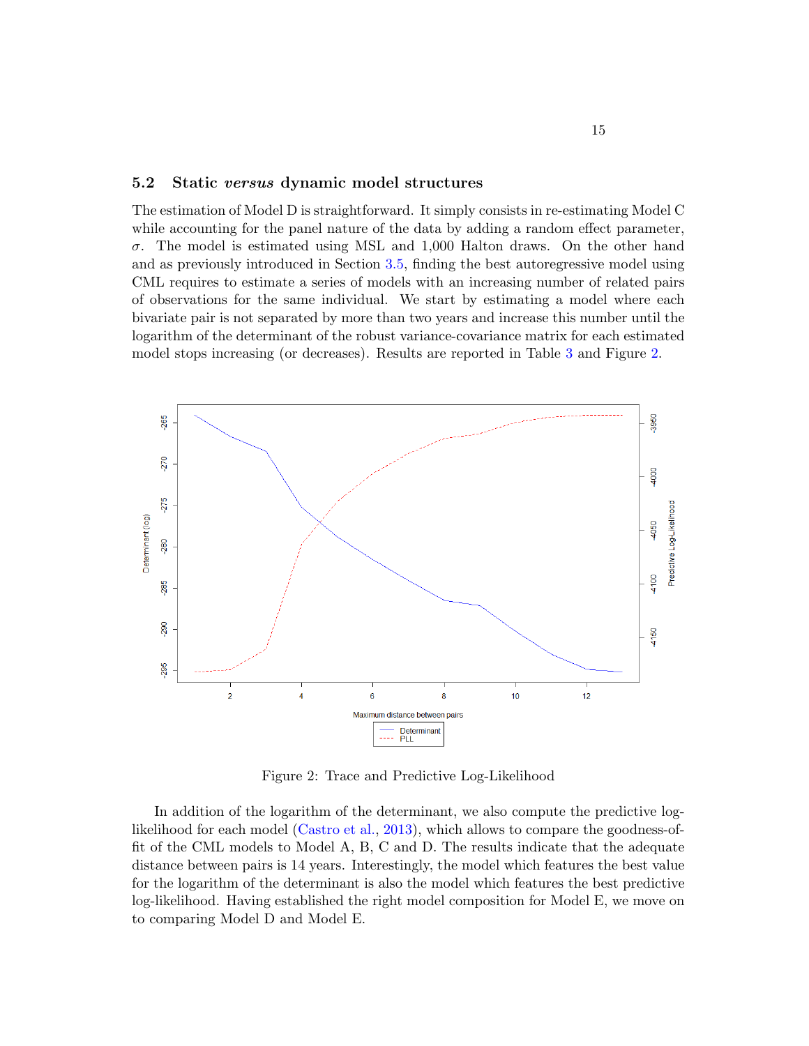#### 5.2 Static versus dynamic model structures

The estimation of Model D is straightforward. It simply consists in re-estimating Model C while accounting for the panel nature of the data by adding a random effect parameter,  $\sigma$ . The model is estimated using MSL and 1,000 Halton draws. On the other hand and as previously introduced in Section [3.5,](#page-9-1) finding the best autoregressive model using CML requires to estimate a series of models with an increasing number of related pairs of observations for the same individual. We start by estimating a model where each bivariate pair is not separated by more than two years and increase this number until the logarithm of the determinant of the robust variance-covariance matrix for each estimated model stops increasing (or decreases). Results are reported in Table [3](#page-16-0) and Figure [2.](#page-15-0)

<span id="page-15-0"></span>

Figure 2: Trace and Predictive Log-Likelihood

In addition of the logarithm of the determinant, we also compute the predictive loglikelihood for each model [\(Castro et al.,](#page-25-11) [2013\)](#page-25-11), which allows to compare the goodness-offit of the CML models to Model A, B, C and D. The results indicate that the adequate distance between pairs is 14 years. Interestingly, the model which features the best value for the logarithm of the determinant is also the model which features the best predictive log-likelihood. Having established the right model composition for Model E, we move on to comparing Model D and Model E.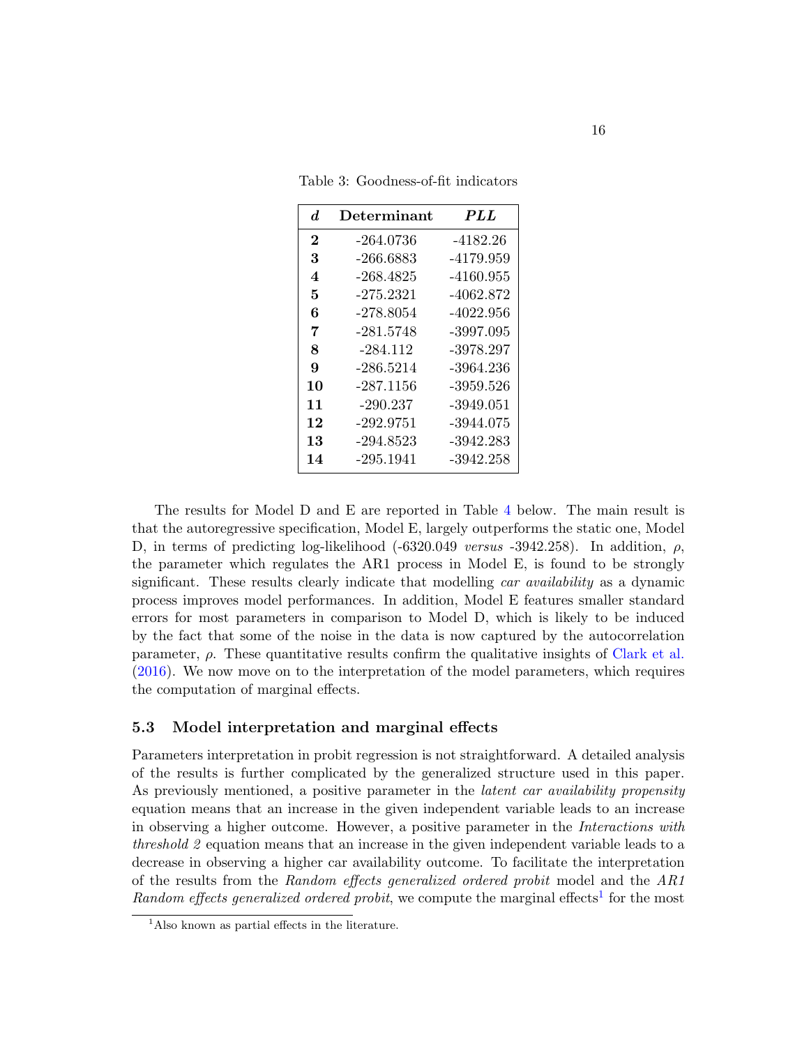| $\boldsymbol{d}$ | Determinant | <i>PLL</i> |
|------------------|-------------|------------|
| $\bf{2}$         | -264.0736   | -4182.26   |
| 3                | -266.6883   | -4179.959  |
| 4                | -268.4825   | -4160.955  |
| 5                | -275.2321   | -4062.872  |
| 6                | -278.8054   | -4022.956  |
| 7                | -281.5748   | -3997.095  |
| 8                | -284.112    | -3978.297  |
| 9                | -286.5214   | -3964.236  |
| 10               | -287.1156   | -3959.526  |
| 11               | -290.237    | -3949.051  |
| 12               | $-292.9751$ | -3944.075  |
| 13               | -294.8523   | -3942.283  |
| 14               | -295.1941   | -3942.258  |

<span id="page-16-0"></span>Table 3: Goodness-of-fit indicators

The results for Model D and E are reported in Table [4](#page-17-0) below. The main result is that the autoregressive specification, Model E, largely outperforms the static one, Model D, in terms of predicting log-likelihood (-6320.049 versus -3942.258). In addition,  $ρ$ , the parameter which regulates the AR1 process in Model E, is found to be strongly significant. These results clearly indicate that modelling *car availability* as a dynamic process improves model performances. In addition, Model E features smaller standard errors for most parameters in comparison to Model D, which is likely to be induced by the fact that some of the noise in the data is now captured by the autocorrelation parameter,  $\rho$ . These quantitative results confirm the qualitative insights of [Clark et al.](#page-25-2) [\(2016\)](#page-25-2). We now move on to the interpretation of the model parameters, which requires the computation of marginal effects.

#### 5.3 Model interpretation and marginal effects

Parameters interpretation in probit regression is not straightforward. A detailed analysis of the results is further complicated by the generalized structure used in this paper. As previously mentioned, a positive parameter in the *latent car availability propensity* equation means that an increase in the given independent variable leads to an increase in observing a higher outcome. However, a positive parameter in the Interactions with threshold 2 equation means that an increase in the given independent variable leads to a decrease in observing a higher car availability outcome. To facilitate the interpretation of the results from the Random effects generalized ordered probit model and the AR1 Random effects generalized ordered probit, we compute the marginal effects<sup>[1](#page-16-1)</sup> for the most

<span id="page-16-1"></span><sup>&</sup>lt;sup>1</sup>Also known as partial effects in the literature.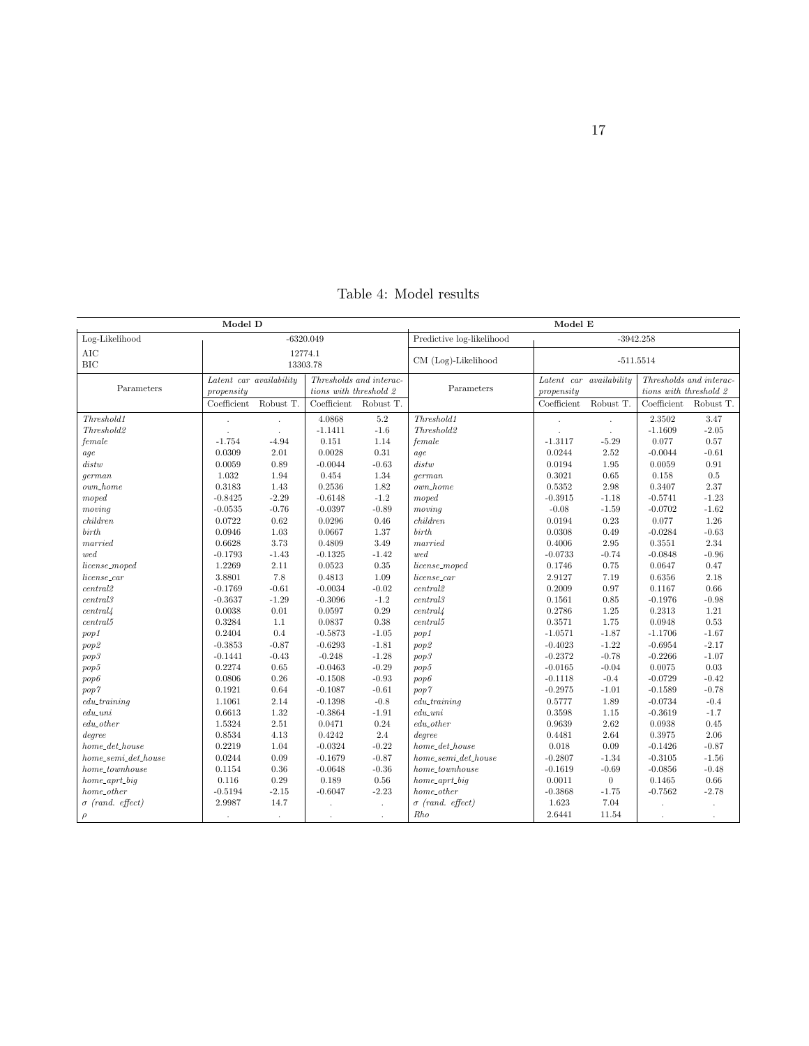<span id="page-17-0"></span>

|                          | Model E                                            |            |                        |                       |                           |                         |                  |                         |            |  |
|--------------------------|----------------------------------------------------|------------|------------------------|-----------------------|---------------------------|-------------------------|------------------|-------------------------|------------|--|
| Log-Likelihood           |                                                    |            | $-6320.049$            |                       | Predictive log-likelihood | $-3942.258$             |                  |                         |            |  |
| AIC                      | 12774.1                                            |            |                        |                       |                           |                         |                  |                         |            |  |
| <b>BIC</b>               | 13303.78                                           |            |                        | CM (Log)-Likelihood   | $-511.5514$               |                         |                  |                         |            |  |
| Parameters               | Latent car availability<br>Thresholds and interac- |            |                        |                       |                           | Latent car availability |                  | Thresholds and interac- |            |  |
|                          | propensity                                         |            | tions with threshold 2 |                       | Parameters                | propensity              |                  | tions with threshold 2  |            |  |
|                          | Coefficient                                        | Robust T.  |                        | Coefficient Robust T. |                           | Coefficient             | Robust T.        | Coefficient Robust T.   |            |  |
| Threshold1               |                                                    |            | 4.0868                 | 5.2                   | Threshold1                |                         |                  | 2.3502                  | 3.47       |  |
| Threshold2               |                                                    |            | $-1.1411$              | $-1.6$                | Threshold2                |                         |                  | $-1.1609$               | $-2.05$    |  |
| female                   | $-1.754$                                           | $-4.94$    | 0.151                  | 1.14                  | female                    | $-1.3117$               | $-5.29$          | 0.077                   | 0.57       |  |
| age                      | 0.0309                                             | 2.01       | 0.0028                 | $0.31\,$              | aqe                       | 0.0244                  | 2.52             | $-0.0044$               | $-0.61$    |  |
| distw                    | 0.0059                                             | 0.89       | $-0.0044$              | $-0.63$               | distw                     | 0.0194                  | 1.95             | 0.0059                  | $\rm 0.91$ |  |
| qerman                   | 1.032                                              | 1.94       | 0.454                  | 1.34                  | qerman                    | 0.3021                  | 0.65             | 0.158                   | $0.5\,$    |  |
| $own\_home$              | 0.3183                                             | 1.43       | 0.2536                 | 1.82                  | own_home                  | 0.5352                  | 2.98             | 0.3407                  | 2.37       |  |
| moped                    | $-0.8425$                                          | $-2.29$    | $-0.6148$              | $-1.2$                | moped                     | $-0.3915$               | $-1.18$          | $-0.5741$               | $-1.23$    |  |
| moving                   | $-0.0535$                                          | $-0.76$    | $-0.0397$              | $-0.89$               | moving                    | $-0.08$                 | $-1.59$          | $-0.0702$               | $-1.62$    |  |
| children                 | 0.0722                                             | 0.62       | 0.0296                 | 0.46                  | children                  | 0.0194                  | 0.23             | 0.077                   | 1.26       |  |
| birth                    | 0.0946                                             | 1.03       | 0.0667                 | 1.37                  | birth                     | 0.0308                  | 0.49             | $-0.0284$               | $-0.63$    |  |
| married                  | 0.6628                                             | 3.73       | 0.4809                 | 3.49                  | married                   | 0.4006                  | 2.95             | 0.3551                  | 2.34       |  |
| wed                      | $-0.1793$                                          | $-1.43$    | $-0.1325$              | $-1.42$               | wed                       | $-0.0733$               | $-0.74$          | $-0.0848$               | $-0.96$    |  |
| license_moped            | 1.2269                                             | 2.11       | 0.0523                 | 0.35                  | license_moped             | 0.1746                  | 0.75             | 0.0647                  | 0.47       |  |
| license_car              | 3.8801                                             | 7.8        | 0.4813                 | 1.09                  | license_car               | 2.9127                  | 7.19             | 0.6356                  | 2.18       |  |
| central2                 | $-0.1769$                                          | $-0.61$    | $-0.0034$              | $-0.02$               | central2                  | 0.2009                  | 0.97             | 0.1167                  | 0.66       |  |
| central3                 | $-0.3637$                                          | $-1.29$    | $-0.3096$              | $-1.2$                | central3                  | 0.1561                  | 0.85             | $-0.1976$               | $-0.98$    |  |
| central/4                | 0.0038                                             | $0.01\,$   | 0.0597                 | 0.29                  | central/4                 | 0.2786                  | 1.25             | 0.2313                  | 1.21       |  |
| central 5                | 0.3284                                             | 1.1        | 0.0837                 | 0.38                  | central 5                 | 0.3571                  | 1.75             | 0.0948                  | 0.53       |  |
| pop1                     | 0.2404                                             | 0.4        | $-0.5873$              | $-1.05$               | pop1                      | $-1.0571$               | $-1.87$          | $-1.1706$               | $-1.67$    |  |
| pop2                     | $-0.3853$                                          | $-0.87$    | $-0.6293$              | $-1.81$               | pop <sub>2</sub>          | $-0.4023$               | $-1.22$          | $-0.6954$               | $-2.17$    |  |
| pop3                     | $-0.1441$                                          | $-0.43$    | $-0.248$               | $-1.28$               | pop3                      | $-0.2372$               | $-0.78$          | $-0.2266$               | $-1.07$    |  |
| pop5                     | 0.2274                                             | $\,0.65\,$ | $-0.0463$              | $-0.29$               | pop5                      | $-0.0165$               | $-0.04$          | 0.0075                  | 0.03       |  |
| pop6                     | 0.0806                                             | 0.26       | $-0.1508$              | $-0.93$               | pop6                      | $-0.1118$               | $-0.4$           | $-0.0729$               | $-0.42$    |  |
| pop7                     | 0.1921                                             | 0.64       | $-0.1087$              | $-0.61$               | pop7                      | $-0.2975$               | $-1.01$          | $-0.1589$               | $-0.78$    |  |
| $edu\_training$          | 1.1061                                             | 2.14       | $-0.1398$              | $-0.8$                | $edu\_training$           | 0.5777                  | 1.89             | $-0.0734$               | $-0.4$     |  |
| $edu\_uni$               | 0.6613                                             | 1.32       | $-0.3864$              | $-1.91$               | $edu\_uni$                | 0.3598                  | 1.15             | $-0.3619$               | $-1.7$     |  |
| $edu\_other$             | 1.5324                                             | 2.51       | 0.0471                 | 0.24                  | $edu\_other$              | 0.9639                  | 2.62             | 0.0938                  | 0.45       |  |
| degree                   | 0.8534                                             | 4.13       | 0.4242                 | 2.4                   | degree                    | 0.4481                  | 2.64             | 0.3975                  | 2.06       |  |
| $home\_det\_house$       | 0.2219                                             | 1.04       | $-0.0324$              | $-0.22$               | $home\_det\_house$        | 0.018                   | 0.09             | $-0.1426$               | $-0.87$    |  |
| $home\_semi\_det\_house$ | 0.0244                                             | $0.09\,$   | $-0.1679$              | $-0.87$               | $home\_semi\_det\_house$  | $-0.2807$               | $-1.34$          | $-0.3105$               | $-1.56$    |  |
| $home\_townhouse$        | 0.1154                                             | $0.36\,$   | $-0.0648$              | $-0.36$               | $home\_townhouse$         | $-0.1619$               | $-0.69$          | $-0.0856$               | $-0.48$    |  |
| $home\_aprt\_big$        | 0.116                                              | $0.29\,$   | 0.189                  | $0.56\,$              | $home\_aprt\_big$         | 0.0011                  | $\boldsymbol{0}$ | 0.1465                  | $0.66\,$   |  |
| $home\_other$            | $-0.5194$                                          | $-2.15$    | $-0.6047$              | $-2.23$               | $home\_other$             | $-0.3868$               | $-1.75$          | $-0.7562$               | $-2.78$    |  |
| $\sigma$ (rand. effect)  | 2.9987                                             | 14.7       |                        | $\epsilon$            | $\sigma$ (rand. effect)   | 1.623                   | 7.04             |                         | $\cdot$    |  |
| $\rho$                   | $\cdot$                                            | $\cdot$    |                        | $\epsilon$            | Rho                       | 2.6441                  | 11.54            |                         | $\cdot$    |  |

Table 4: Model results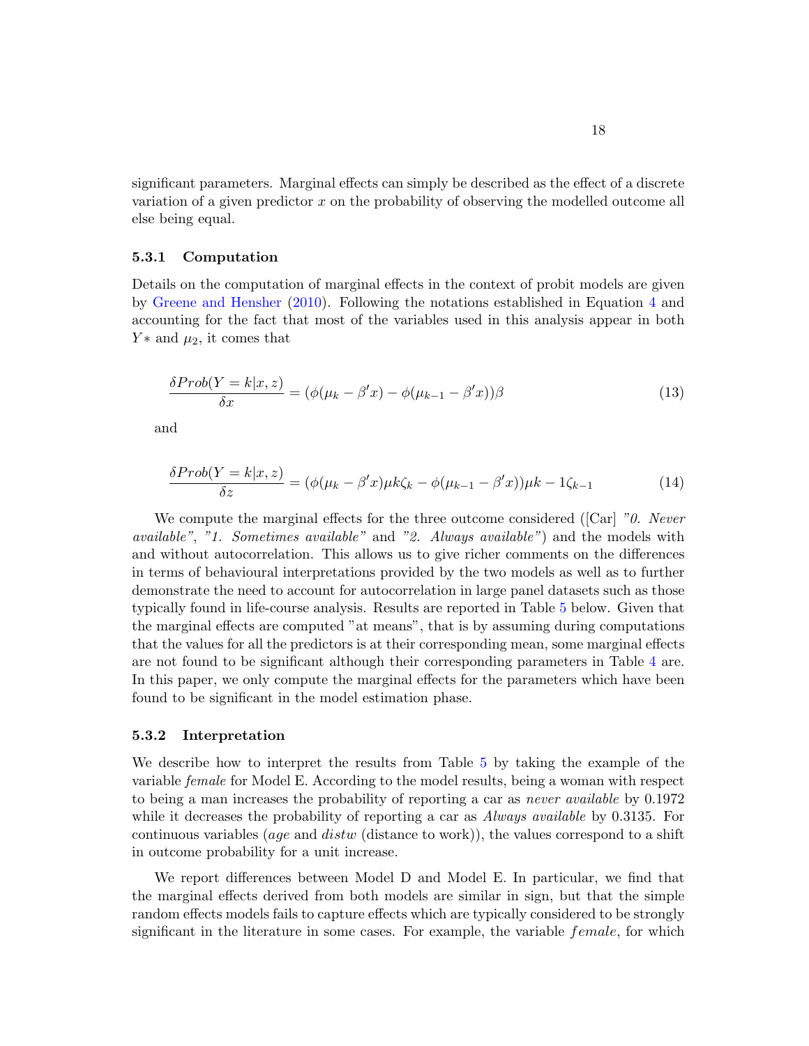significant parameters. Marginal effects can simply be described as the effect of a discrete variation of a given predictor x on the probability of observing the modelled outcome all else being equal.

#### 5.3.1 Computation

Details on the computation of marginal effects in the context of probit models are given by [Greene and Hensher](#page-26-12) [\(2010\)](#page-26-12). Following the notations established in Equation [4](#page-4-0) and accounting for the fact that most of the variables used in this analysis appear in both  $Y*$  and  $\mu_2$ , it comes that

$$
\frac{\delta Prob(Y=k|x,z)}{\delta x} = (\phi(\mu_k - \beta'x) - \phi(\mu_{k-1} - \beta'x))\beta \tag{13}
$$

and

$$
\frac{\delta Prob(Y=k|x,z)}{\delta z} = (\phi(\mu_k - \beta'x)\mu k\zeta_k - \phi(\mu_{k-1} - \beta'x))\mu k - 1\zeta_{k-1}
$$
\n(14)

We compute the marginal effects for the three outcome considered ([Car]  $"0.$  Never available", "1. Sometimes available" and "2. Always available") and the models with and without autocorrelation. This allows us to give richer comments on the differences in terms of behavioural interpretations provided by the two models as well as to further demonstrate the need to account for autocorrelation in large panel datasets such as those typically found in life-course analysis. Results are reported in Table [5](#page-19-0) below. Given that the marginal effects are computed "at means", that is by assuming during computations that the values for all the predictors is at their corresponding mean, some marginal effects are not found to be significant although their corresponding parameters in Table [4](#page-17-0) are. In this paper, we only compute the marginal effects for the parameters which have been found to be significant in the model estimation phase.

#### 5.3.2 Interpretation

We describe how to interpret the results from Table [5](#page-19-0) by taking the example of the variable female for Model E. According to the model results, being a woman with respect to being a man increases the probability of reporting a car as *never available* by 0.1972 while it decreases the probability of reporting a car as *Always available* by 0.3135. For continuous variables (*age* and *distw* (distance to work)), the values correspond to a shift in outcome probability for a unit increase.

We report differences between Model D and Model E. In particular, we find that the marginal effects derived from both models are similar in sign, but that the simple random effects models fails to capture effects which are typically considered to be strongly significant in the literature in some cases. For example, the variable *female*, for which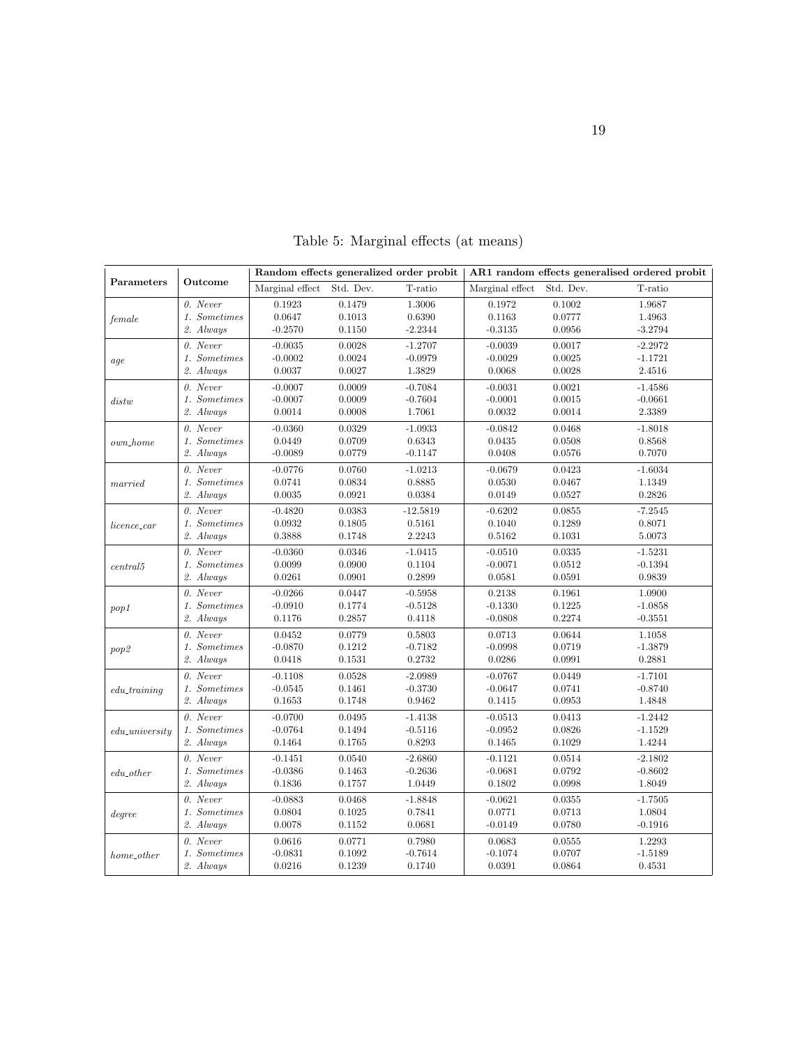<span id="page-19-0"></span>

|                   | Outcome      |                 |           | Random effects generalized order probit | AR1 random effects generalised ordered probit |           |           |  |  |
|-------------------|--------------|-----------------|-----------|-----------------------------------------|-----------------------------------------------|-----------|-----------|--|--|
| Parameters        |              | Marginal effect | Std. Dev. | T-ratio                                 | Marginal effect                               | Std. Dev. | T-ratio   |  |  |
|                   | 0. Never     | 0.1923          | 0.1479    | 1.3006                                  | 0.1972                                        | 0.1002    | 1.9687    |  |  |
| female            | 1. Sometimes | 0.0647          | 0.1013    | 0.6390                                  | 0.1163                                        | 0.0777    | 1.4963    |  |  |
|                   | 2. Always    | $-0.2570$       | 0.1150    | $-2.2344$                               | $-0.3135$                                     | 0.0956    | $-3.2794$ |  |  |
|                   | $0.$ Never   | $-0.0035$       | 0.0028    | $-1.2707$                               | $-0.0039$                                     | 0.0017    | $-2.2972$ |  |  |
| age               | 1. Sometimes | $-0.0002$       | 0.0024    | $-0.0979$                               | $-0.0029$                                     | 0.0025    | $-1.1721$ |  |  |
|                   | 2. Always    | 0.0037          | 0.0027    | 1.3829                                  | 0.0068                                        | 0.0028    | 2.4516    |  |  |
|                   | 0. Never     | $-0.0007$       | 0.0009    | $-0.7084$                               | $-0.0031$                                     | 0.0021    | $-1.4586$ |  |  |
| distw             | 1. Sometimes | $-0.0007$       | 0.0009    | $-0.7604$                               | $-0.0001$                                     | 0.0015    | $-0.0661$ |  |  |
|                   | 2. Always    | 0.0014          | 0.0008    | 1.7061                                  | 0.0032                                        | 0.0014    | 2.3389    |  |  |
|                   | 0. Never     | $-0.0360$       | 0.0329    | $-1.0933$                               | $-0.0842$                                     | 0.0468    | $-1.8018$ |  |  |
| $own\_home$       | 1. Sometimes | 0.0449          | 0.0709    | 0.6343                                  | 0.0435                                        | 0.0508    | 0.8568    |  |  |
|                   | 2. Always    | $-0.0089$       | 0.0779    | $-0.1147$                               | 0.0408                                        | 0.0576    | 0.7070    |  |  |
|                   | 0. Never     | $-0.0776$       | 0.0760    | $-1.0213$                               | $-0.0679$                                     | 0.0423    | $-1.6034$ |  |  |
| married           | 1. Sometimes | 0.0741          | 0.0834    | 0.8885                                  | 0.0530                                        | 0.0467    | 1.1349    |  |  |
|                   | 2. Always    | 0.0035          | 0.0921    | 0.0384                                  | 0.0149                                        | 0.0527    | 0.2826    |  |  |
|                   | $0.$ Never   | $-0.4820$       | 0.0383    | $-12.5819$                              | $-0.6202$                                     | 0.0855    | $-7.2545$ |  |  |
| licence_car       | 1. Sometimes | 0.0932          | 0.1805    | 0.5161                                  | 0.1040                                        | 0.1289    | 0.8071    |  |  |
|                   | 2. Always    | 0.3888          | 0.1748    | 2.2243                                  | 0.5162                                        | 0.1031    | 5.0073    |  |  |
|                   | 0. Never     | $-0.0360$       | 0.0346    | $-1.0415$                               | $-0.0510$                                     | 0.0335    | $-1.5231$ |  |  |
| central 5         | 1. Sometimes | 0.0099          | 0.0900    | 0.1104                                  | $-0.0071$                                     | 0.0512    | $-0.1394$ |  |  |
|                   | 2. Always    | 0.0261          | 0.0901    | 0.2899                                  | 0.0581                                        | 0.0591    | 0.9839    |  |  |
|                   | 0. Never     | $-0.0266$       | 0.0447    | $-0.5958$                               | 0.2138                                        | 0.1961    | 1.0900    |  |  |
| pop1              | 1. Sometimes | $-0.0910$       | 0.1774    | $-0.5128$                               | $-0.1330$                                     | 0.1225    | $-1.0858$ |  |  |
|                   | 2. Always    | 0.1176          | 0.2857    | 0.4118                                  | $-0.0808$                                     | 0.2274    | $-0.3551$ |  |  |
|                   | 0. Never     | 0.0452          | 0.0779    | 0.5803                                  | 0.0713                                        | 0.0644    | 1.1058    |  |  |
| pop <sub>2</sub>  | 1. Sometimes | $-0.0870$       | 0.1212    | $-0.7182$                               | $-0.0998$                                     | 0.0719    | $-1.3879$ |  |  |
|                   | 2. Always    | 0.0418          | 0.1531    | 0.2732                                  | 0.0286                                        | 0.0991    | 0.2881    |  |  |
|                   | $0.$ Never   | $-0.1108$       | 0.0528    | $-2.0989$                               | $-0.0767$                                     | 0.0449    | $-1.7101$ |  |  |
| $edu$ _training   | 1. Sometimes | $-0.0545$       | 0.1461    | $-0.3730$                               | $-0.0647$                                     | 0.0741    | $-0.8740$ |  |  |
|                   | 2. Always    | 0.1653          | 0.1748    | 0.9462                                  | 0.1415                                        | 0.0953    | 1.4848    |  |  |
|                   | 0. Never     | $-0.0700$       | 0.0495    | $-1.4138$                               | $-0.0513$                                     | 0.0413    | $-1.2442$ |  |  |
| $edu\_university$ | 1. Sometimes | $-0.0764$       | 0.1494    | $-0.5116$                               | $-0.0952$                                     | 0.0826    | $-1.1529$ |  |  |
|                   | 2. Always    | 0.1464          | 0.1765    | 0.8293                                  | 0.1465                                        | 0.1029    | 1.4244    |  |  |
|                   | $0.$ Never   | $-0.1451$       | 0.0540    | $-2.6860$                               | $-0.1121$                                     | 0.0514    | $-2.1802$ |  |  |
| $edu\_other$      | 1. Sometimes | $-0.0386$       | 0.1463    | $-0.2636$                               | $-0.0681$                                     | 0.0792    | $-0.8602$ |  |  |
|                   | 2. Always    | 0.1836          | 0.1757    | 1.0449                                  | 0.1802                                        | 0.0998    | 1.8049    |  |  |
|                   | 0. Never     | $-0.0883$       | 0.0468    | $-1.8848$                               | $-0.0621$                                     | 0.0355    | $-1.7505$ |  |  |
| degree            | 1. Sometimes | 0.0804          | 0.1025    | 0.7841                                  | 0.0771                                        | 0.0713    | 1.0804    |  |  |
|                   | 2. Always    | 0.0078          | 0.1152    | 0.0681                                  | $-0.0149$                                     | 0.0780    | $-0.1916$ |  |  |
|                   | 0. Never     | 0.0616          | 0.0771    | 0.7980                                  | 0.0683                                        | 0.0555    | 1.2293    |  |  |
| home_other        | 1. Sometimes | $-0.0831$       | 0.1092    | $-0.7614$                               | $-0.1074$                                     | 0.0707    | $-1.5189$ |  |  |
|                   | 2. Always    | 0.0216          | 0.1239    | 0.1740                                  | 0.0391                                        | 0.0864    | 0.4531    |  |  |

Table 5: Marginal effects (at means)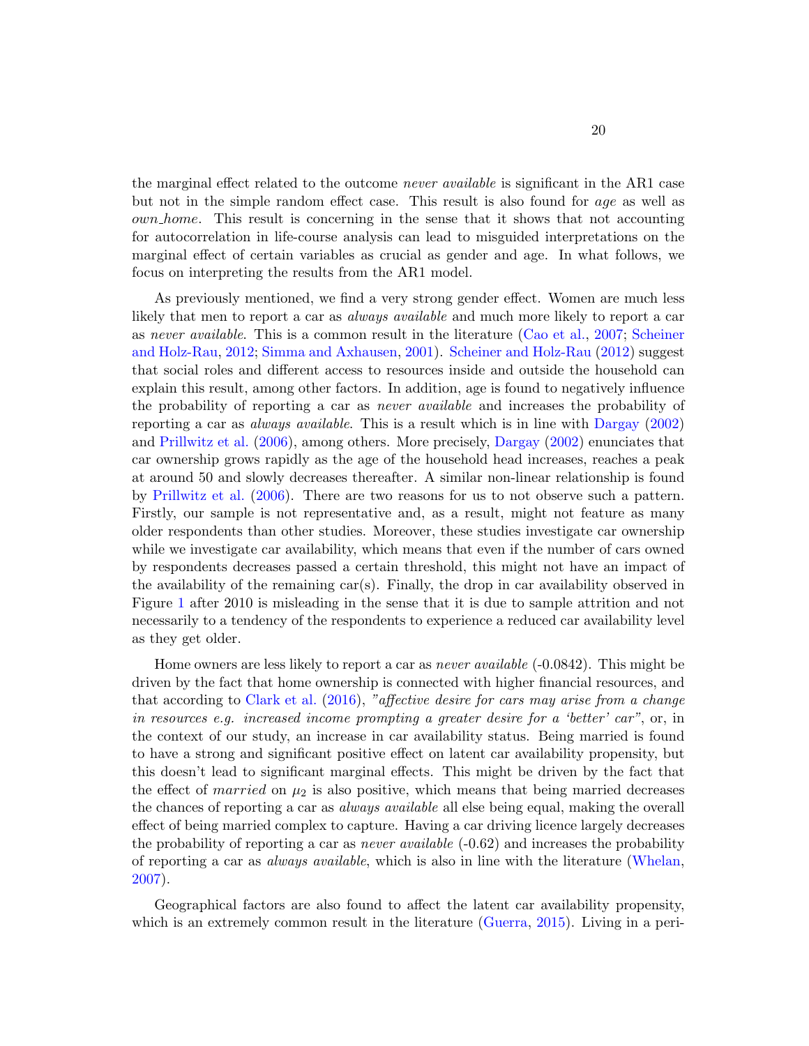the marginal effect related to the outcome never available is significant in the AR1 case but not in the simple random effect case. This result is also found for age as well as own home. This result is concerning in the sense that it shows that not accounting for autocorrelation in life-course analysis can lead to misguided interpretations on the marginal effect of certain variables as crucial as gender and age. In what follows, we focus on interpreting the results from the AR1 model.

As previously mentioned, we find a very strong gender effect. Women are much less likely that men to report a car as *always available* and much more likely to report a car as never available. This is a common result in the literature [\(Cao et al.,](#page-25-3) [2007;](#page-25-3) [Scheiner](#page-28-10) [and Holz-Rau,](#page-28-10) [2012;](#page-28-10) [Simma and Axhausen,](#page-28-11) [2001\)](#page-28-11). [Scheiner and Holz-Rau](#page-28-10) [\(2012\)](#page-28-10) suggest that social roles and different access to resources inside and outside the household can explain this result, among other factors. In addition, age is found to negatively influence the probability of reporting a car as *never available* and increases the probability of reporting a car as always available. This is a result which is in line with [Dargay](#page-25-6) [\(2002\)](#page-25-6) and [Prillwitz et al.](#page-27-7) [\(2006\)](#page-27-7), among others. More precisely, [Dargay](#page-25-6) [\(2002\)](#page-25-6) enunciates that car ownership grows rapidly as the age of the household head increases, reaches a peak at around 50 and slowly decreases thereafter. A similar non-linear relationship is found by [Prillwitz et al.](#page-27-7) [\(2006\)](#page-27-7). There are two reasons for us to not observe such a pattern. Firstly, our sample is not representative and, as a result, might not feature as many older respondents than other studies. Moreover, these studies investigate car ownership while we investigate car availability, which means that even if the number of cars owned by respondents decreases passed a certain threshold, this might not have an impact of the availability of the remaining car(s). Finally, the drop in car availability observed in Figure [1](#page-12-0) after 2010 is misleading in the sense that it is due to sample attrition and not necessarily to a tendency of the respondents to experience a reduced car availability level as they get older.

Home owners are less likely to report a car as *never available* (-0.0842). This might be driven by the fact that home ownership is connected with higher financial resources, and that according to [Clark et al.](#page-25-2) [\(2016\)](#page-25-2), "affective desire for cars may arise from a change in resources e.g. increased income prompting a greater desire for a 'better' car", or, in the context of our study, an increase in car availability status. Being married is found to have a strong and significant positive effect on latent car availability propensity, but this doesn't lead to significant marginal effects. This might be driven by the fact that the effect of *married* on  $\mu_2$  is also positive, which means that being married decreases the chances of reporting a car as always available all else being equal, making the overall effect of being married complex to capture. Having a car driving licence largely decreases the probability of reporting a car as *never available*  $(-0.62)$  and increases the probability of reporting a car as always available, which is also in line with the literature [\(Whelan,](#page-28-12) [2007\)](#page-28-12).

Geographical factors are also found to affect the latent car availability propensity, which is an extremely common result in the literature [\(Guerra,](#page-26-13) [2015\)](#page-26-13). Living in a peri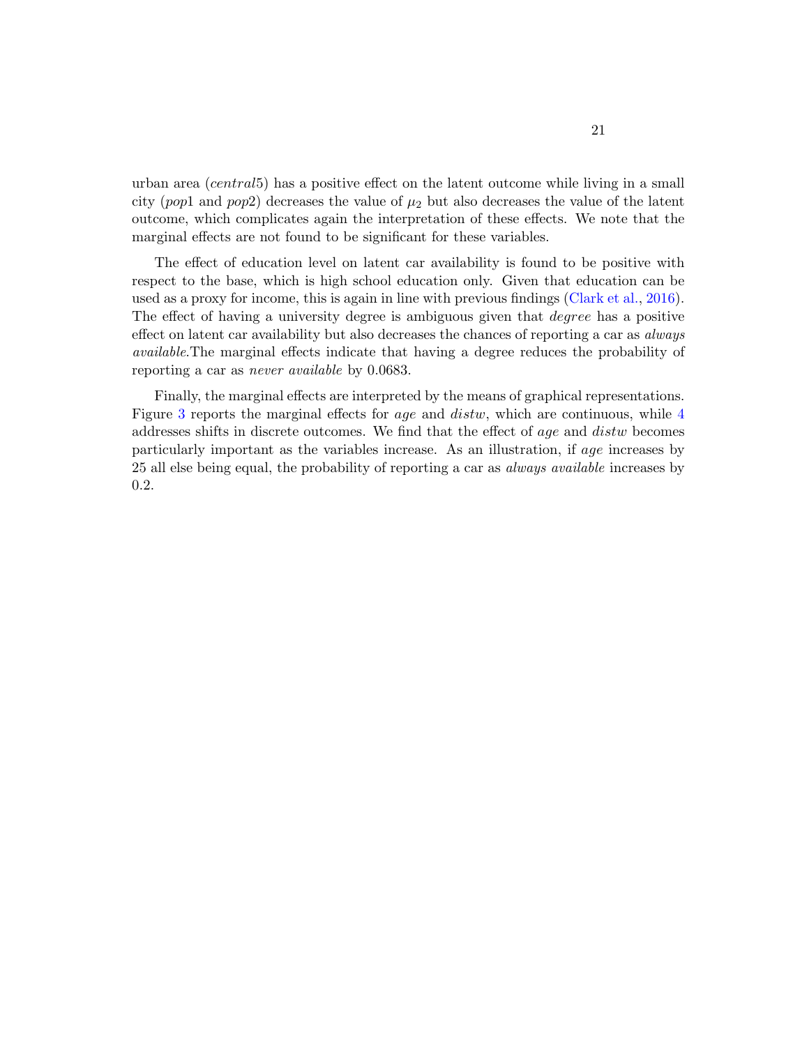urban area (central5) has a positive effect on the latent outcome while living in a small city (pop1 and pop2) decreases the value of  $\mu_2$  but also decreases the value of the latent outcome, which complicates again the interpretation of these effects. We note that the marginal effects are not found to be significant for these variables.

The effect of education level on latent car availability is found to be positive with respect to the base, which is high school education only. Given that education can be used as a proxy for income, this is again in line with previous findings [\(Clark et al.,](#page-25-2) [2016\)](#page-25-2). The effect of having a university degree is ambiguous given that *degree* has a positive effect on latent car availability but also decreases the chances of reporting a car as *always* available.The marginal effects indicate that having a degree reduces the probability of reporting a car as never available by 0.0683.

Finally, the marginal effects are interpreted by the means of graphical representations. Figure [3](#page-22-0) reports the marginal effects for *age* and *distw*, which are continuous, while [4](#page-23-1) addresses shifts in discrete outcomes. We find that the effect of age and distw becomes particularly important as the variables increase. As an illustration, if age increases by 25 all else being equal, the probability of reporting a car as always available increases by 0.2.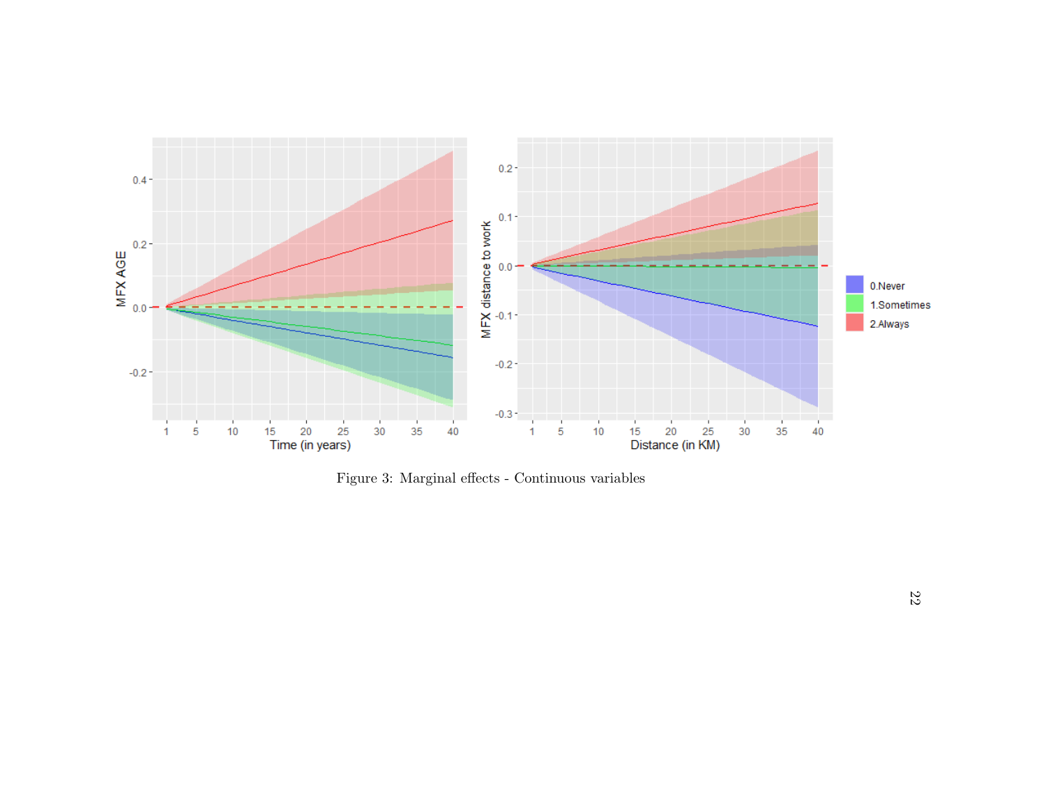

<span id="page-22-0"></span>Figure 3: Marginal effects - Continuous variables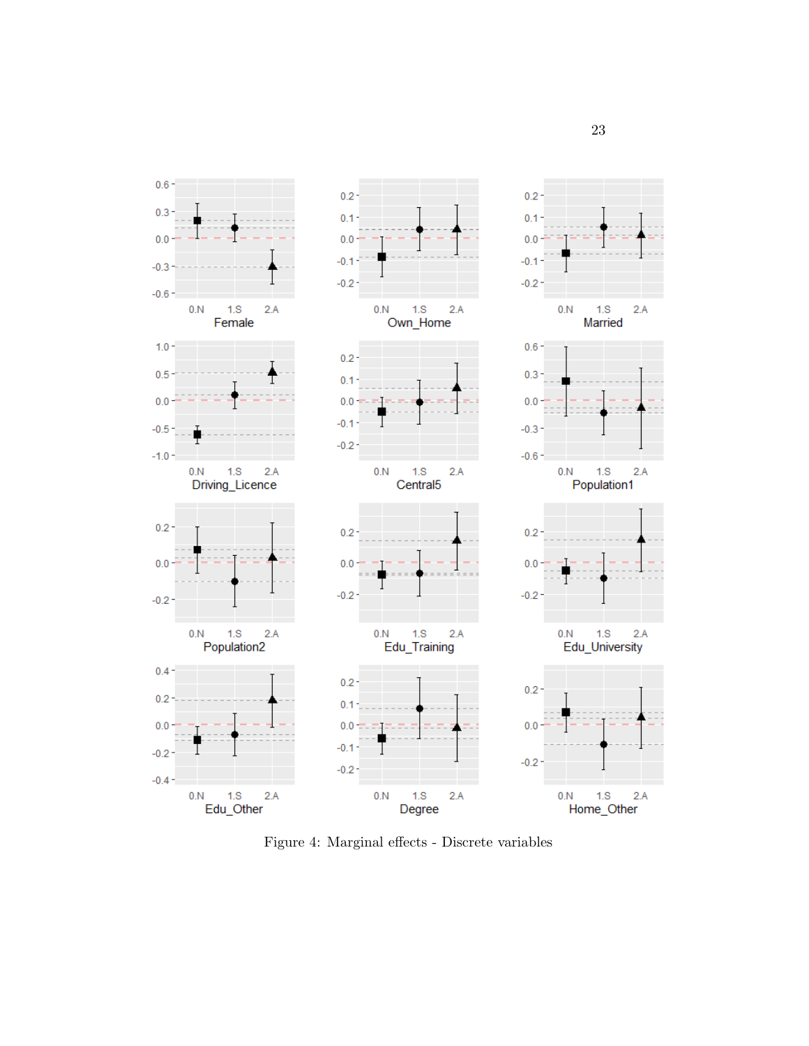<span id="page-23-1"></span>

<span id="page-23-0"></span>Figure 4: Marginal effects - Discrete variables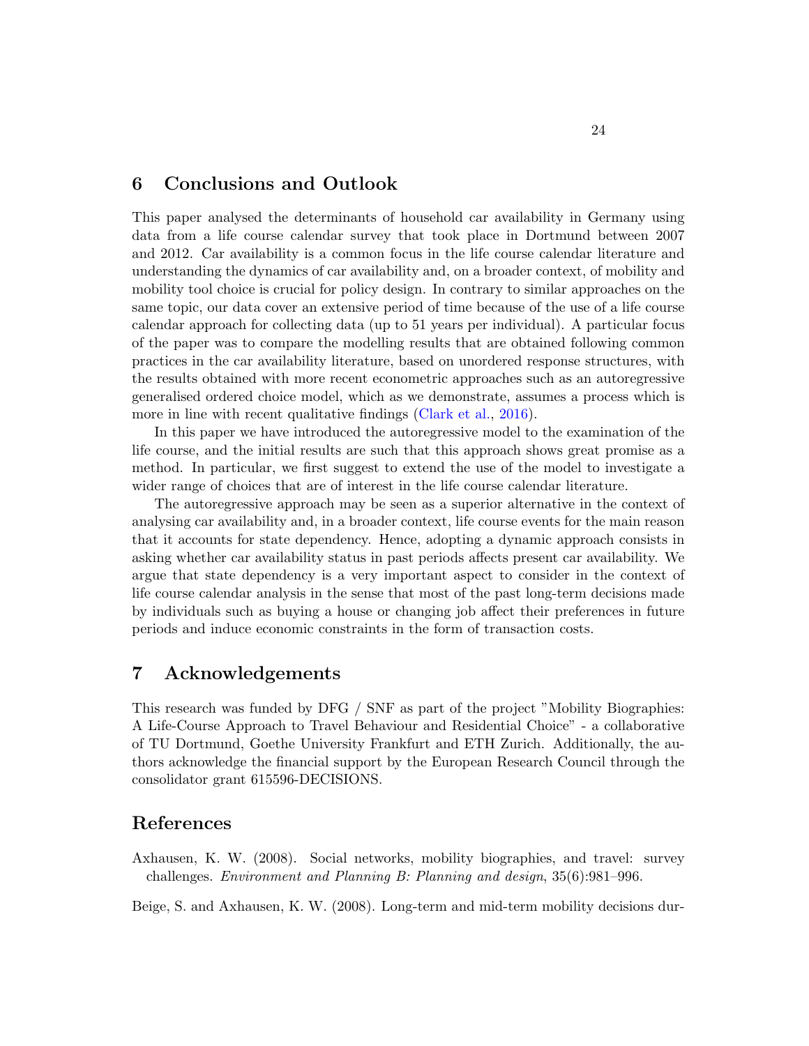## 6 Conclusions and Outlook

This paper analysed the determinants of household car availability in Germany using data from a life course calendar survey that took place in Dortmund between 2007 and 2012. Car availability is a common focus in the life course calendar literature and understanding the dynamics of car availability and, on a broader context, of mobility and mobility tool choice is crucial for policy design. In contrary to similar approaches on the same topic, our data cover an extensive period of time because of the use of a life course calendar approach for collecting data (up to 51 years per individual). A particular focus of the paper was to compare the modelling results that are obtained following common practices in the car availability literature, based on unordered response structures, with the results obtained with more recent econometric approaches such as an autoregressive generalised ordered choice model, which as we demonstrate, assumes a process which is more in line with recent qualitative findings [\(Clark et al.,](#page-25-2) [2016\)](#page-25-2).

In this paper we have introduced the autoregressive model to the examination of the life course, and the initial results are such that this approach shows great promise as a method. In particular, we first suggest to extend the use of the model to investigate a wider range of choices that are of interest in the life course calendar literature.

The autoregressive approach may be seen as a superior alternative in the context of analysing car availability and, in a broader context, life course events for the main reason that it accounts for state dependency. Hence, adopting a dynamic approach consists in asking whether car availability status in past periods affects present car availability. We argue that state dependency is a very important aspect to consider in the context of life course calendar analysis in the sense that most of the past long-term decisions made by individuals such as buying a house or changing job affect their preferences in future periods and induce economic constraints in the form of transaction costs.

## 7 Acknowledgements

This research was funded by DFG / SNF as part of the project "Mobility Biographies: A Life-Course Approach to Travel Behaviour and Residential Choice" - a collaborative of TU Dortmund, Goethe University Frankfurt and ETH Zurich. Additionally, the authors acknowledge the financial support by the European Research Council through the consolidator grant 615596-DECISIONS.

## References

<span id="page-24-0"></span>Axhausen, K. W. (2008). Social networks, mobility biographies, and travel: survey challenges. Environment and Planning B: Planning and design, 35(6):981–996.

<span id="page-24-1"></span>Beige, S. and Axhausen, K. W. (2008). Long-term and mid-term mobility decisions dur-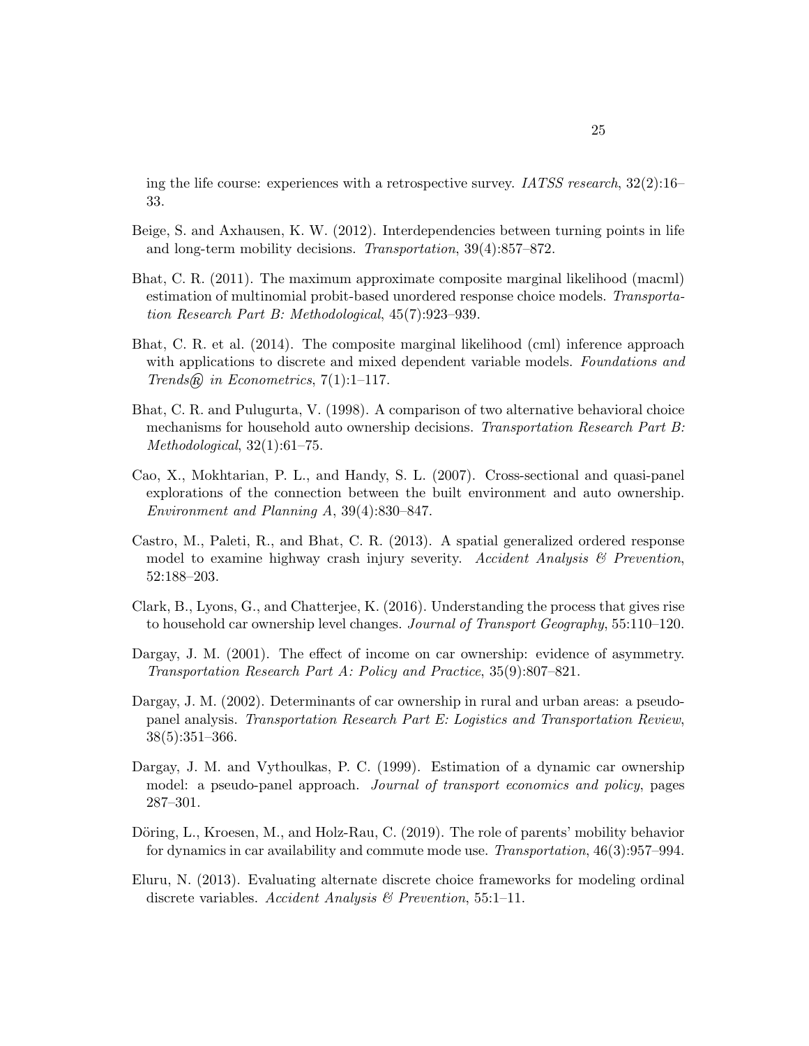ing the life course: experiences with a retrospective survey. *IATSS research*,  $32(2):16-$ 33.

- <span id="page-25-0"></span>Beige, S. and Axhausen, K. W. (2012). Interdependencies between turning points in life and long-term mobility decisions. Transportation, 39(4):857–872.
- <span id="page-25-9"></span>Bhat, C. R. (2011). The maximum approximate composite marginal likelihood (macml) estimation of multinomial probit-based unordered response choice models. Transportation Research Part B: Methodological, 45(7):923–939.
- <span id="page-25-10"></span>Bhat, C. R. et al. (2014). The composite marginal likelihood (cml) inference approach with applications to discrete and mixed dependent variable models. Foundations and Trends $\mathcal{R}$  in Econometrics, 7(1):1–117.
- <span id="page-25-1"></span>Bhat, C. R. and Pulugurta, V. (1998). A comparison of two alternative behavioral choice mechanisms for household auto ownership decisions. Transportation Research Part B: Methodological, 32(1):61–75.
- <span id="page-25-3"></span>Cao, X., Mokhtarian, P. L., and Handy, S. L. (2007). Cross-sectional and quasi-panel explorations of the connection between the built environment and auto ownership. Environment and Planning A, 39(4):830–847.
- <span id="page-25-11"></span>Castro, M., Paleti, R., and Bhat, C. R. (2013). A spatial generalized ordered response model to examine highway crash injury severity. Accident Analysis  $\mathcal B$  Prevention, 52:188–203.
- <span id="page-25-2"></span>Clark, B., Lyons, G., and Chatterjee, K. (2016). Understanding the process that gives rise to household car ownership level changes. Journal of Transport Geography, 55:110–120.
- <span id="page-25-5"></span>Dargay, J. M. (2001). The effect of income on car ownership: evidence of asymmetry. Transportation Research Part A: Policy and Practice, 35(9):807–821.
- <span id="page-25-6"></span>Dargay, J. M. (2002). Determinants of car ownership in rural and urban areas: a pseudopanel analysis. Transportation Research Part E: Logistics and Transportation Review, 38(5):351–366.
- <span id="page-25-4"></span>Dargay, J. M. and Vythoulkas, P. C. (1999). Estimation of a dynamic car ownership model: a pseudo-panel approach. Journal of transport economics and policy, pages 287–301.
- <span id="page-25-7"></span>Döring, L., Kroesen, M., and Holz-Rau, C. (2019). The role of parents' mobility behavior for dynamics in car availability and commute mode use. Transportation, 46(3):957–994.
- <span id="page-25-8"></span>Eluru, N. (2013). Evaluating alternate discrete choice frameworks for modeling ordinal discrete variables. Accident Analysis & Prevention, 55:1–11.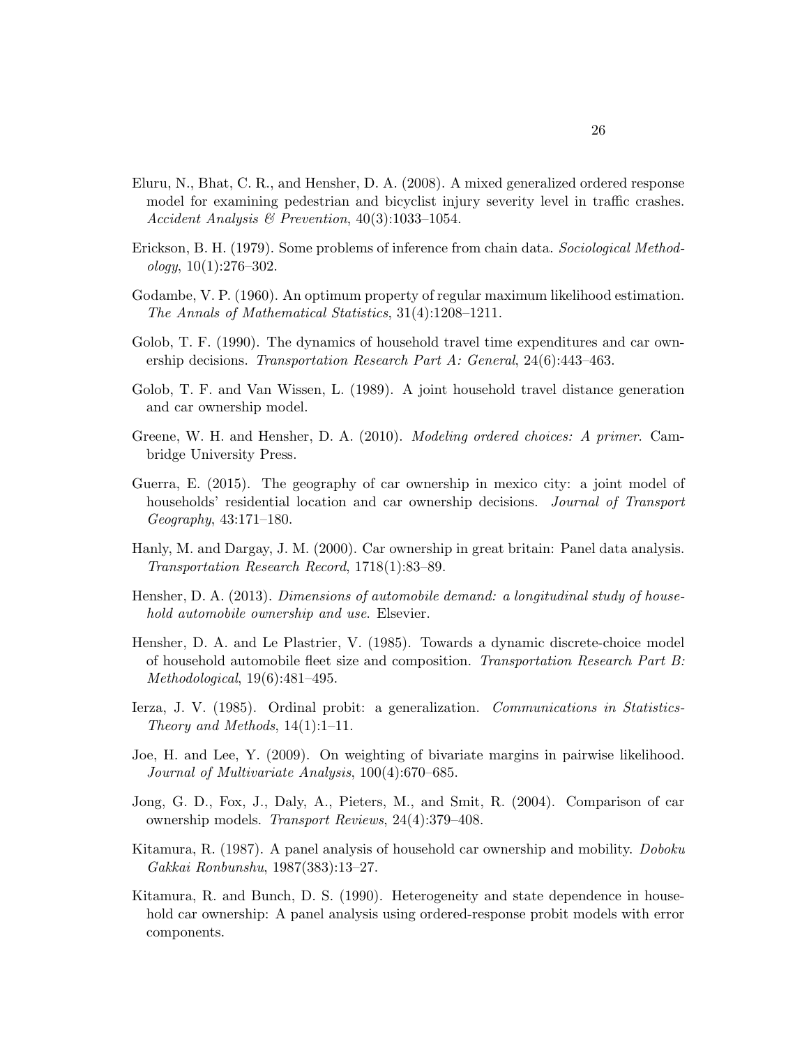- <span id="page-26-8"></span>Eluru, N., Bhat, C. R., and Hensher, D. A. (2008). A mixed generalized ordered response model for examining pedestrian and bicyclist injury severity level in traffic crashes. Accident Analysis & Prevention, 40(3):1033–1054.
- <span id="page-26-11"></span>Erickson, B. H. (1979). Some problems of inference from chain data. Sociological Method $ology, 10(1):276-302.$
- <span id="page-26-9"></span>Godambe, V. P. (1960). An optimum property of regular maximum likelihood estimation. The Annals of Mathematical Statistics, 31(4):1208–1211.
- <span id="page-26-1"></span>Golob, T. F. (1990). The dynamics of household travel time expenditures and car ownership decisions. Transportation Research Part A: General, 24(6):443–463.
- <span id="page-26-0"></span>Golob, T. F. and Van Wissen, L. (1989). A joint household travel distance generation and car ownership model.
- <span id="page-26-12"></span>Greene, W. H. and Hensher, D. A. (2010). Modeling ordered choices: A primer. Cambridge University Press.
- <span id="page-26-13"></span>Guerra, E. (2015). The geography of car ownership in mexico city: a joint model of households' residential location and car ownership decisions. Journal of Transport Geography, 43:171–180.
- <span id="page-26-2"></span>Hanly, M. and Dargay, J. M. (2000). Car ownership in great britain: Panel data analysis. Transportation Research Record, 1718(1):83–89.
- <span id="page-26-4"></span>Hensher, D. A. (2013). Dimensions of automobile demand: a longitudinal study of household automobile ownership and use. Elsevier.
- <span id="page-26-3"></span>Hensher, D. A. and Le Plastrier, V. (1985). Towards a dynamic discrete-choice model of household automobile fleet size and composition. Transportation Research Part B: Methodological, 19(6):481–495.
- <span id="page-26-7"></span>Ierza, J. V. (1985). Ordinal probit: a generalization. Communications in Statistics-Theory and Methods, 14(1):1–11.
- <span id="page-26-10"></span>Joe, H. and Lee, Y. (2009). On weighting of bivariate margins in pairwise likelihood. Journal of Multivariate Analysis, 100(4):670–685.
- Jong, G. D., Fox, J., Daly, A., Pieters, M., and Smit, R. (2004). Comparison of car ownership models. Transport Reviews, 24(4):379–408.
- <span id="page-26-5"></span>Kitamura, R. (1987). A panel analysis of household car ownership and mobility. Doboku Gakkai Ronbunshu, 1987(383):13–27.
- <span id="page-26-6"></span>Kitamura, R. and Bunch, D. S. (1990). Heterogeneity and state dependence in household car ownership: A panel analysis using ordered-response probit models with error components.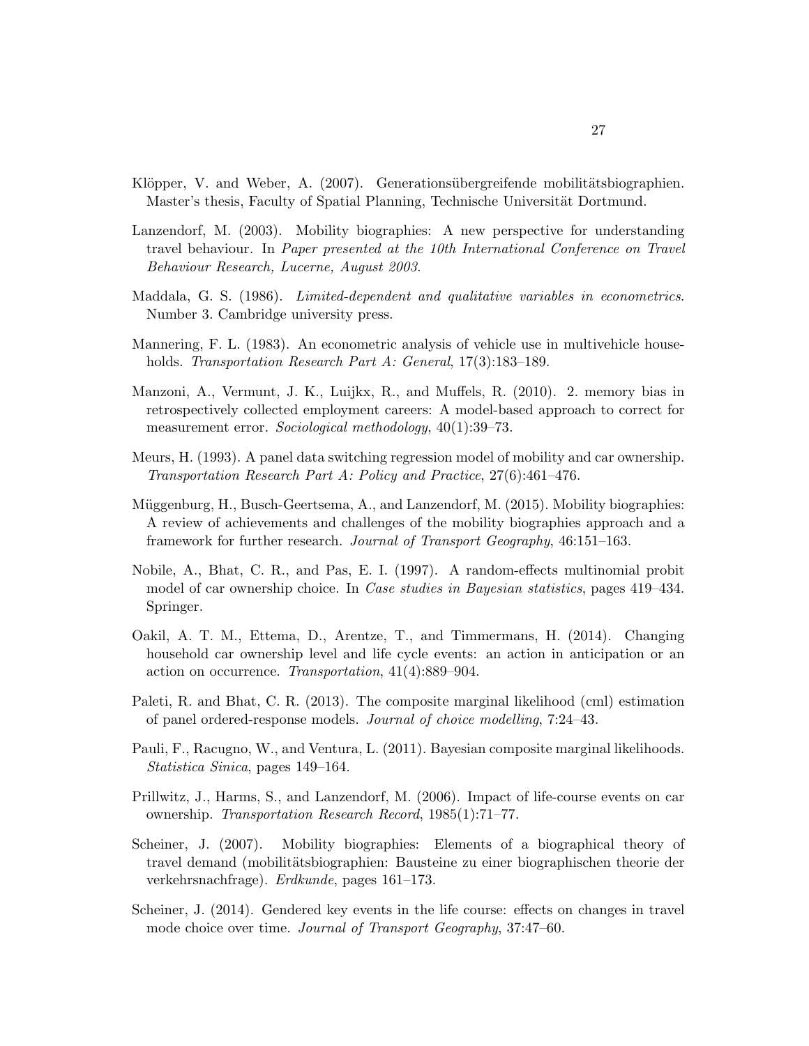- <span id="page-27-12"></span>Klöpper, V. and Weber, A. (2007). Generationsübergreifende mobilitätsbiographien. Master's thesis, Faculty of Spatial Planning, Technische Universität Dortmund.
- <span id="page-27-0"></span>Lanzendorf, M. (2003). Mobility biographies: A new perspective for understanding travel behaviour. In Paper presented at the 10th International Conference on Travel Behaviour Research, Lucerne, August 2003.
- <span id="page-27-9"></span>Maddala, G. S. (1986). Limited-dependent and qualitative variables in econometrics. Number 3. Cambridge university press.
- <span id="page-27-3"></span>Mannering, F. L. (1983). An econometric analysis of vehicle use in multivehicle households. Transportation Research Part A: General, 17(3):183–189.
- <span id="page-27-13"></span>Manzoni, A., Vermunt, J. K., Luijkx, R., and Muffels, R. (2010). 2. memory bias in retrospectively collected employment careers: A model-based approach to correct for measurement error. Sociological methodology, 40(1):39–73.
- <span id="page-27-4"></span>Meurs, H. (1993). A panel data switching regression model of mobility and car ownership. Transportation Research Part A: Policy and Practice, 27(6):461–476.
- <span id="page-27-2"></span>Müggenburg, H., Busch-Geertsema, A., and Lanzendorf, M. (2015). Mobility biographies: A review of achievements and challenges of the mobility biographies approach and a framework for further research. Journal of Transport Geography, 46:151–163.
- <span id="page-27-5"></span>Nobile, A., Bhat, C. R., and Pas, E. I. (1997). A random-effects multinomial probit model of car ownership choice. In Case studies in Bayesian statistics, pages 419–434. Springer.
- <span id="page-27-6"></span>Oakil, A. T. M., Ettema, D., Arentze, T., and Timmermans, H. (2014). Changing household car ownership level and life cycle events: an action in anticipation or an action on occurrence. Transportation, 41(4):889–904.
- <span id="page-27-10"></span>Paleti, R. and Bhat, C. R. (2013). The composite marginal likelihood (cml) estimation of panel ordered-response models. Journal of choice modelling, 7:24–43.
- <span id="page-27-11"></span>Pauli, F., Racugno, W., and Ventura, L. (2011). Bayesian composite marginal likelihoods. Statistica Sinica, pages 149–164.
- <span id="page-27-7"></span>Prillwitz, J., Harms, S., and Lanzendorf, M. (2006). Impact of life-course events on car ownership. Transportation Research Record, 1985(1):71–77.
- <span id="page-27-1"></span>Scheiner, J. (2007). Mobility biographies: Elements of a biographical theory of travel demand (mobilitätsbiographien: Bausteine zu einer biographischen theorie der verkehrsnachfrage). Erdkunde, pages 161–173.
- <span id="page-27-8"></span>Scheiner, J. (2014). Gendered key events in the life course: effects on changes in travel mode choice over time. Journal of Transport Geography, 37:47–60.